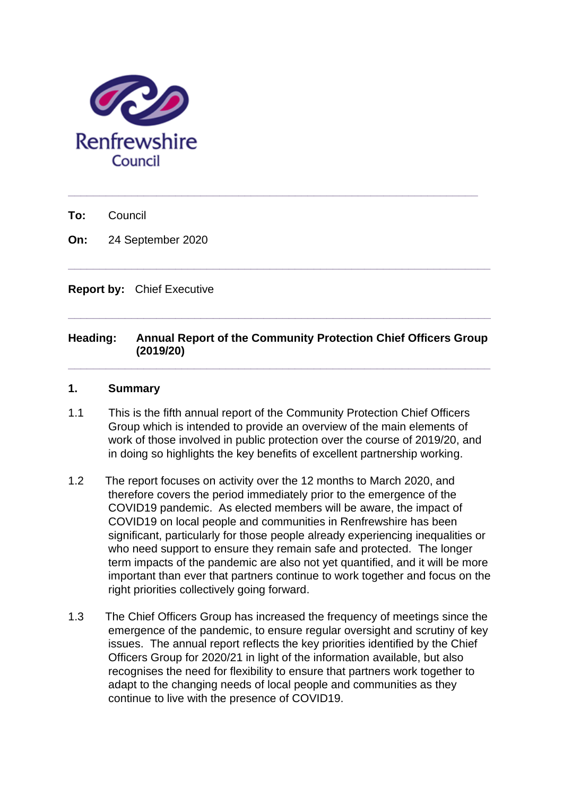

**To:** Council

**On:** 24 September 2020

**Report by:** Chief Executive

# **Heading: Annual Report of the Community Protection Chief Officers Group (2019/20)**

**\_\_\_\_\_\_\_\_\_\_\_\_\_\_\_\_\_\_\_\_\_\_\_\_\_\_\_\_\_\_\_\_\_\_\_\_\_\_\_\_\_\_\_\_\_\_\_\_\_\_\_\_\_\_\_\_\_\_\_\_\_\_\_\_\_\_\_**

**\_\_\_\_\_\_\_\_\_\_\_\_\_\_\_\_\_\_\_\_\_\_\_\_\_\_\_\_\_\_\_\_\_\_\_\_\_\_\_\_\_\_\_\_\_\_\_\_\_\_\_\_\_\_\_\_\_\_\_\_\_\_\_\_\_\_\_**

**\_\_\_\_\_\_\_\_\_\_\_\_\_\_\_\_\_\_\_\_\_\_\_\_\_\_\_\_\_\_\_\_\_\_\_\_\_\_\_\_\_\_\_\_\_\_\_\_\_\_\_\_\_\_\_\_\_\_\_\_\_\_\_\_\_\_\_**

**\_\_\_\_\_\_\_\_\_\_\_\_\_\_\_\_\_\_\_\_\_\_\_\_\_\_\_\_\_\_\_\_\_\_\_\_\_\_\_\_\_\_\_\_\_\_\_\_\_\_\_\_\_\_\_\_\_\_\_\_\_\_\_\_\_**

# **1. Summary**

- 1.1 This is the fifth annual report of the Community Protection Chief Officers Group which is intended to provide an overview of the main elements of work of those involved in public protection over the course of 2019/20, and in doing so highlights the key benefits of excellent partnership working.
- 1.2 The report focuses on activity over the 12 months to March 2020, and therefore covers the period immediately prior to the emergence of the COVID19 pandemic. As elected members will be aware, the impact of COVID19 on local people and communities in Renfrewshire has been significant, particularly for those people already experiencing inequalities or who need support to ensure they remain safe and protected. The longer term impacts of the pandemic are also not yet quantified, and it will be more important than ever that partners continue to work together and focus on the right priorities collectively going forward.
- 1.3 The Chief Officers Group has increased the frequency of meetings since the emergence of the pandemic, to ensure regular oversight and scrutiny of key issues. The annual report reflects the key priorities identified by the Chief Officers Group for 2020/21 in light of the information available, but also recognises the need for flexibility to ensure that partners work together to adapt to the changing needs of local people and communities as they continue to live with the presence of COVID19.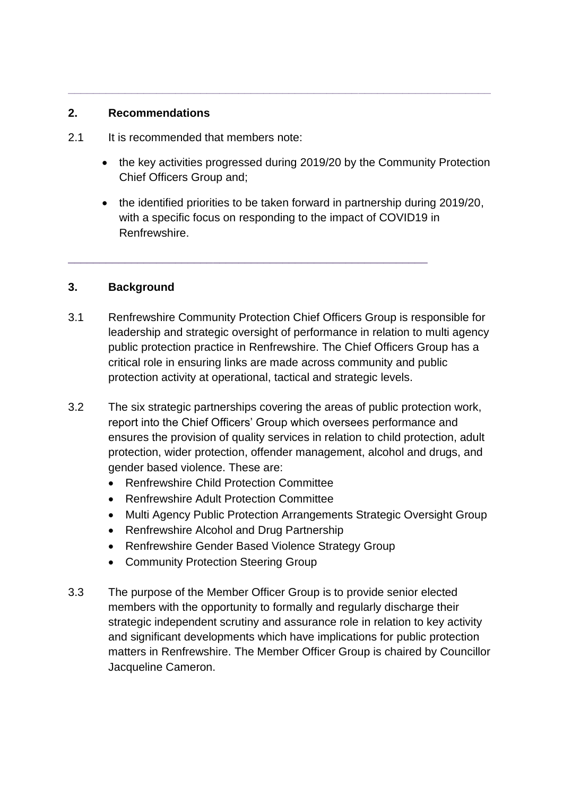# **2. Recommendations**

- 2.1 It is recommended that members note:
	- the key activities progressed during 2019/20 by the Community Protection Chief Officers Group and;

**\_\_\_\_\_\_\_\_\_\_\_\_\_\_\_\_\_\_\_\_\_\_\_\_\_\_\_\_\_\_\_\_\_\_\_\_\_\_\_\_\_\_\_\_\_\_\_\_\_\_\_\_\_\_\_\_\_\_\_\_\_\_\_\_\_\_\_**

• the identified priorities to be taken forward in partnership during 2019/20, with a specific focus on responding to the impact of COVID19 in Renfrewshire.

# **3. Background**

3.1 Renfrewshire Community Protection Chief Officers Group is responsible for leadership and strategic oversight of performance in relation to multi agency public protection practice in Renfrewshire. The Chief Officers Group has a critical role in ensuring links are made across community and public protection activity at operational, tactical and strategic levels.

\_\_\_\_\_\_\_\_\_\_\_\_\_\_\_\_\_\_\_\_\_\_\_\_\_\_\_\_\_\_\_\_\_\_\_\_\_\_\_\_\_\_\_\_\_\_\_\_\_\_\_\_\_\_\_\_\_

- 3.2 The six strategic partnerships covering the areas of public protection work, report into the Chief Officers' Group which oversees performance and ensures the provision of quality services in relation to child protection, adult protection, wider protection, offender management, alcohol and drugs, and gender based violence. These are:
	- Renfrewshire Child Protection Committee
	- Renfrewshire Adult Protection Committee
	- Multi Agency Public Protection Arrangements Strategic Oversight Group
	- Renfrewshire Alcohol and Drug Partnership
	- Renfrewshire Gender Based Violence Strategy Group
	- Community Protection Steering Group
- 3.3 The purpose of the Member Officer Group is to provide senior elected members with the opportunity to formally and regularly discharge their strategic independent scrutiny and assurance role in relation to key activity and significant developments which have implications for public protection matters in Renfrewshire. The Member Officer Group is chaired by Councillor Jacqueline Cameron.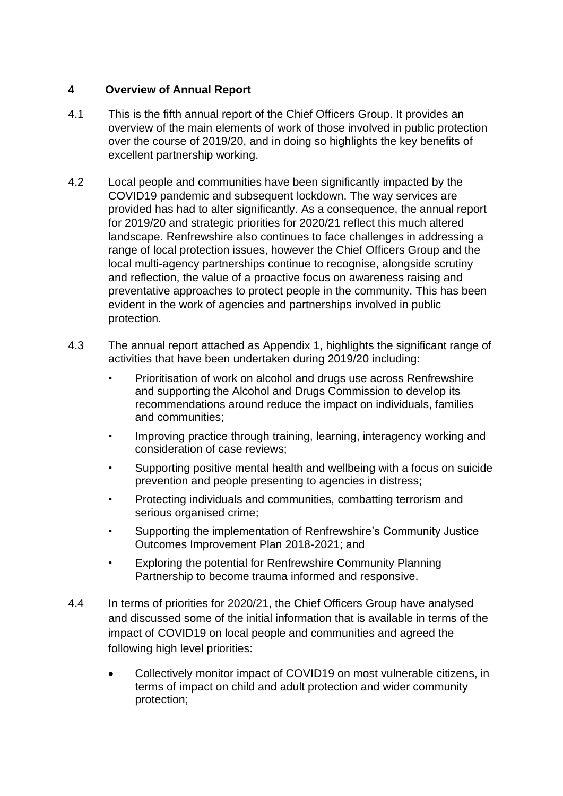# **4 Overview of Annual Report**

- 4.1 This is the fifth annual report of the Chief Officers Group. It provides an overview of the main elements of work of those involved in public protection over the course of 2019/20, and in doing so highlights the key benefits of excellent partnership working.
- 4.2 Local people and communities have been significantly impacted by the COVID19 pandemic and subsequent lockdown. The way services are provided has had to alter significantly. As a consequence, the annual report for 2019/20 and strategic priorities for 2020/21 reflect this much altered landscape. Renfrewshire also continues to face challenges in addressing a range of local protection issues, however the Chief Officers Group and the local multi-agency partnerships continue to recognise, alongside scrutiny and reflection, the value of a proactive focus on awareness raising and preventative approaches to protect people in the community. This has been evident in the work of agencies and partnerships involved in public protection.
- 4.3 The annual report attached as Appendix 1, highlights the significant range of activities that have been undertaken during 2019/20 including:
	- Prioritisation of work on alcohol and drugs use across Renfrewshire and supporting the Alcohol and Drugs Commission to develop its recommendations around reduce the impact on individuals, families and communities;
	- Improving practice through training, learning, interagency working and consideration of case reviews;
	- Supporting positive mental health and wellbeing with a focus on suicide prevention and people presenting to agencies in distress;
	- Protecting individuals and communities, combatting terrorism and serious organised crime;
	- Supporting the implementation of Renfrewshire's Community Justice Outcomes Improvement Plan 2018-2021; and
	- Exploring the potential for Renfrewshire Community Planning Partnership to become trauma informed and responsive.
- 4.4 In terms of priorities for 2020/21, the Chief Officers Group have analysed and discussed some of the initial information that is available in terms of the impact of COVID19 on local people and communities and agreed the following high level priorities:
	- Collectively monitor impact of COVID19 on most vulnerable citizens, in terms of impact on child and adult protection and wider community protection;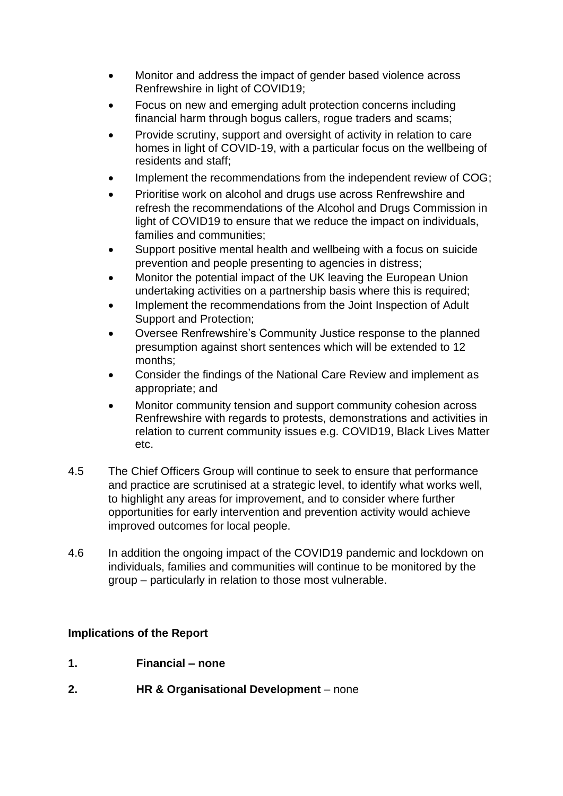- Monitor and address the impact of gender based violence across Renfrewshire in light of COVID19;
- Focus on new and emerging adult protection concerns including financial harm through bogus callers, rogue traders and scams;
- Provide scrutiny, support and oversight of activity in relation to care homes in light of COVID-19, with a particular focus on the wellbeing of residents and staff;
- Implement the recommendations from the independent review of COG:
- Prioritise work on alcohol and drugs use across Renfrewshire and refresh the recommendations of the Alcohol and Drugs Commission in light of COVID19 to ensure that we reduce the impact on individuals, families and communities;
- Support positive mental health and wellbeing with a focus on suicide prevention and people presenting to agencies in distress;
- Monitor the potential impact of the UK leaving the European Union undertaking activities on a partnership basis where this is required;
- Implement the recommendations from the Joint Inspection of Adult Support and Protection;
- Oversee Renfrewshire's Community Justice response to the planned presumption against short sentences which will be extended to 12 months;
- Consider the findings of the National Care Review and implement as appropriate; and
- Monitor community tension and support community cohesion across Renfrewshire with regards to protests, demonstrations and activities in relation to current community issues e.g. COVID19, Black Lives Matter etc.
- 4.5 The Chief Officers Group will continue to seek to ensure that performance and practice are scrutinised at a strategic level, to identify what works well, to highlight any areas for improvement, and to consider where further opportunities for early intervention and prevention activity would achieve improved outcomes for local people.
- 4.6 In addition the ongoing impact of the COVID19 pandemic and lockdown on individuals, families and communities will continue to be monitored by the group – particularly in relation to those most vulnerable.

# **Implications of the Report**

- **1. Financial – none**
- **2. HR & Organisational Development** none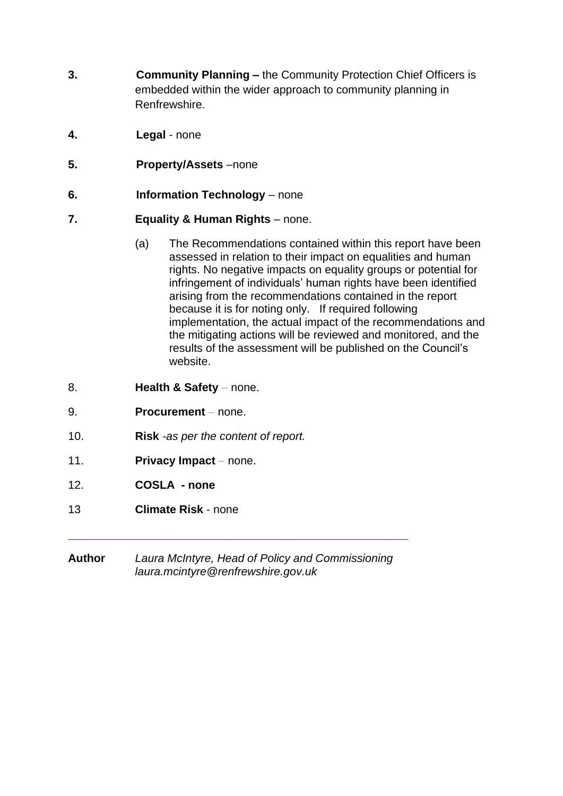- **3. Community Planning –** the Community Protection Chief Officers is embedded within the wider approach to community planning in Renfrewshire.
- **4. Legal** none
- **5. Property/Assets** –none
- **6. Information Technology** none
- **7. Equality & Human Rights** *–* none.
	- (a) The Recommendations contained within this report have been assessed in relation to their impact on equalities and human rights. No negative impacts on equality groups or potential for infringement of individuals' human rights have been identified arising from the recommendations contained in the report because it is for noting only. If required following implementation, the actual impact of the recommendations and the mitigating actions will be reviewed and monitored, and the results of the assessment will be published on the Council's website.
- 8. **Health & Safety** none.
- 9. **Procurement** *–* none.
- 10. **Risk** *-as per the content of report.*
- 11. **Privacy Impact** *–* none.
- 12. **COSLA - none**
- 13 **Climate Risk** none
- **Author** *Laura McIntyre, Head of Policy and Commissioning laura.mcintyre@renfrewshire.gov.uk*

\_\_\_\_\_\_\_\_\_\_\_\_\_\_\_\_\_\_\_\_\_\_\_\_\_\_\_\_\_\_\_\_\_\_\_\_\_\_\_\_\_\_\_\_\_\_\_\_\_\_\_\_\_\_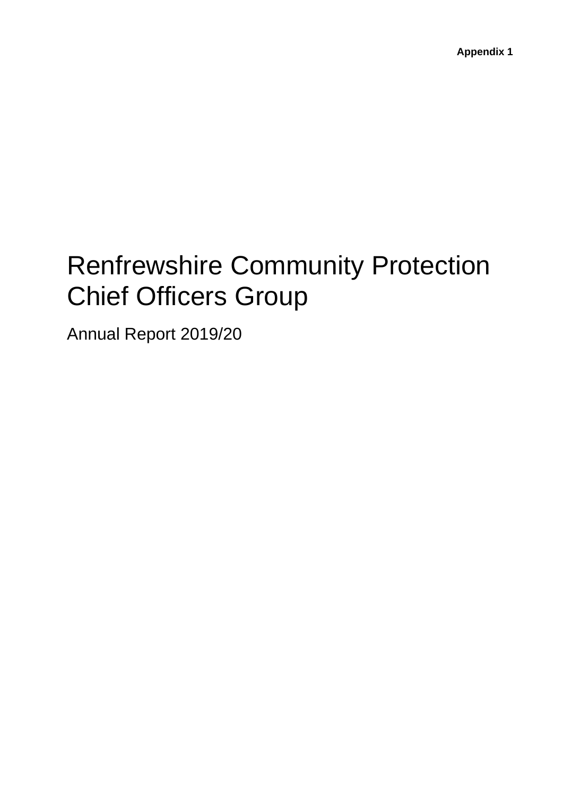# Renfrewshire Community Protection Chief Officers Group

Annual Report 2019/20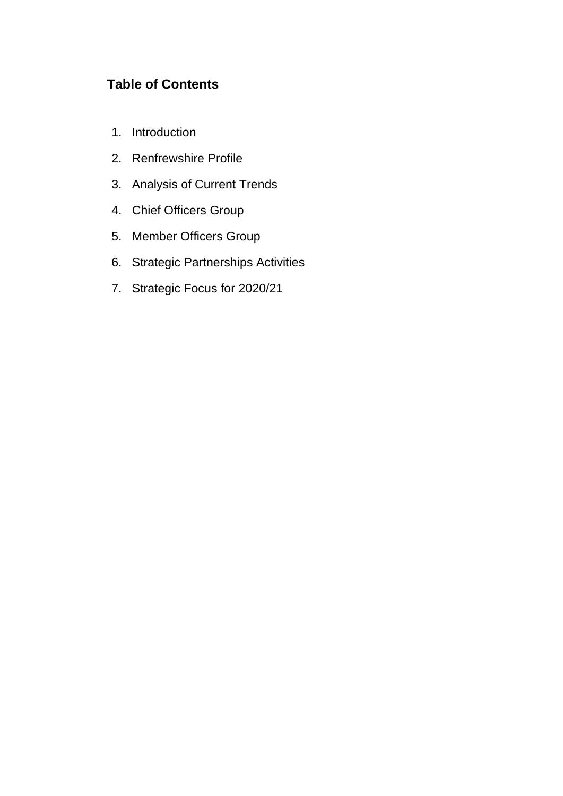# **Table of Contents**

- 1. Introduction
- 2. Renfrewshire Profile
- 3. Analysis of Current Trends
- 4. Chief Officers Group
- 5. Member Officers Group
- 6. Strategic Partnerships Activities
- 7. Strategic Focus for 2020/21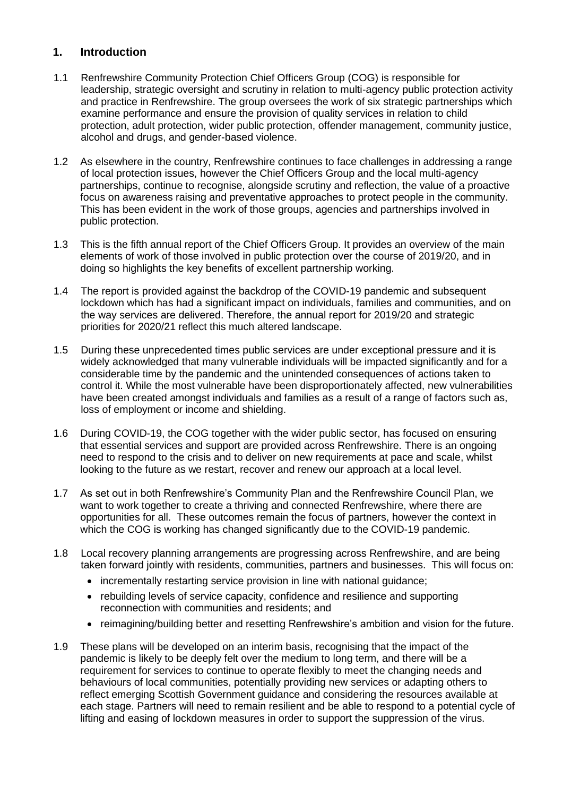# **1. Introduction**

- 1.1 Renfrewshire Community Protection Chief Officers Group (COG) is responsible for leadership, strategic oversight and scrutiny in relation to multi-agency public protection activity and practice in Renfrewshire. The group oversees the work of six strategic partnerships which examine performance and ensure the provision of quality services in relation to child protection, adult protection, wider public protection, offender management, community justice, alcohol and drugs, and gender-based violence.
- 1.2 As elsewhere in the country, Renfrewshire continues to face challenges in addressing a range of local protection issues, however the Chief Officers Group and the local multi-agency partnerships, continue to recognise, alongside scrutiny and reflection, the value of a proactive focus on awareness raising and preventative approaches to protect people in the community. This has been evident in the work of those groups, agencies and partnerships involved in public protection.
- 1.3 This is the fifth annual report of the Chief Officers Group. It provides an overview of the main elements of work of those involved in public protection over the course of 2019/20, and in doing so highlights the key benefits of excellent partnership working.
- 1.4 The report is provided against the backdrop of the COVID-19 pandemic and subsequent lockdown which has had a significant impact on individuals, families and communities, and on the way services are delivered. Therefore, the annual report for 2019/20 and strategic priorities for 2020/21 reflect this much altered landscape.
- 1.5 During these unprecedented times public services are under exceptional pressure and it is widely acknowledged that many vulnerable individuals will be impacted significantly and for a considerable time by the pandemic and the unintended consequences of actions taken to control it. While the most vulnerable have been disproportionately affected, new vulnerabilities have been created amongst individuals and families as a result of a range of factors such as, loss of employment or income and shielding.
- 1.6 During COVID-19, the COG together with the wider public sector, has focused on ensuring that essential services and support are provided across Renfrewshire. There is an ongoing need to respond to the crisis and to deliver on new requirements at pace and scale, whilst looking to the future as we restart, recover and renew our approach at a local level.
- 1.7 As set out in both Renfrewshire's Community Plan and the Renfrewshire Council Plan, we want to work together to create a thriving and connected Renfrewshire, where there are opportunities for all. These outcomes remain the focus of partners, however the context in which the COG is working has changed significantly due to the COVID-19 pandemic.
- 1.8 Local recovery planning arrangements are progressing across Renfrewshire, and are being taken forward jointly with residents, communities, partners and businesses. This will focus on:
	- incrementally restarting service provision in line with national quidance:
	- rebuilding levels of service capacity, confidence and resilience and supporting reconnection with communities and residents; and
	- reimagining/building better and resetting Renfrewshire's ambition and vision for the future.
- 1.9 These plans will be developed on an interim basis, recognising that the impact of the pandemic is likely to be deeply felt over the medium to long term, and there will be a requirement for services to continue to operate flexibly to meet the changing needs and behaviours of local communities, potentially providing new services or adapting others to reflect emerging Scottish Government guidance and considering the resources available at each stage. Partners will need to remain resilient and be able to respond to a potential cycle of lifting and easing of lockdown measures in order to support the suppression of the virus.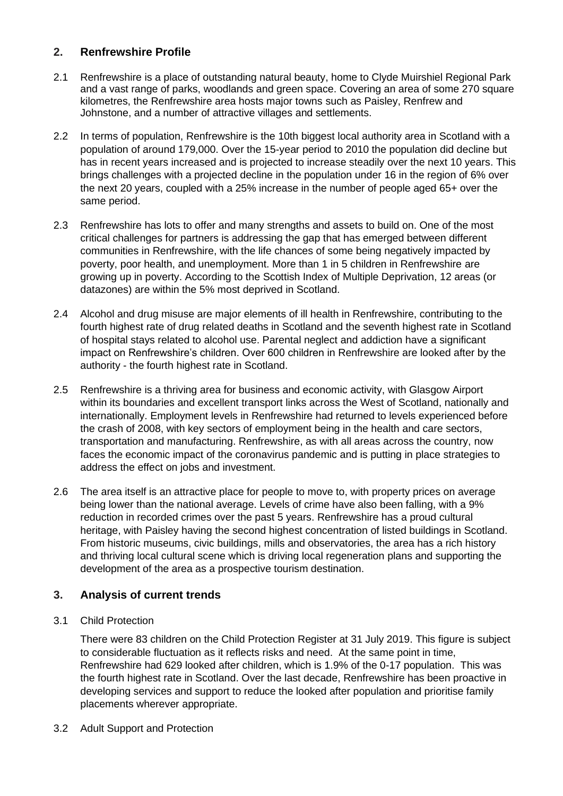# **2. Renfrewshire Profile**

- 2.1 Renfrewshire is a place of outstanding natural beauty, home to Clyde Muirshiel Regional Park and a vast range of parks, woodlands and green space. Covering an area of some 270 square kilometres, the Renfrewshire area hosts major towns such as Paisley, Renfrew and Johnstone, and a number of attractive villages and settlements.
- 2.2 In terms of population, Renfrewshire is the 10th biggest local authority area in Scotland with a population of around 179,000. Over the 15-year period to 2010 the population did decline but has in recent years increased and is projected to increase steadily over the next 10 years. This brings challenges with a projected decline in the population under 16 in the region of 6% over the next 20 years, coupled with a 25% increase in the number of people aged 65+ over the same period.
- 2.3 Renfrewshire has lots to offer and many strengths and assets to build on. One of the most critical challenges for partners is addressing the gap that has emerged between different communities in Renfrewshire, with the life chances of some being negatively impacted by poverty, poor health, and unemployment. More than 1 in 5 children in Renfrewshire are growing up in poverty. According to the Scottish Index of Multiple Deprivation, 12 areas (or datazones) are within the 5% most deprived in Scotland.
- 2.4 Alcohol and drug misuse are major elements of ill health in Renfrewshire, contributing to the fourth highest rate of drug related deaths in Scotland and the seventh highest rate in Scotland of hospital stays related to alcohol use. Parental neglect and addiction have a significant impact on Renfrewshire's children. Over 600 children in Renfrewshire are looked after by the authority - the fourth highest rate in Scotland.
- 2.5 Renfrewshire is a thriving area for business and economic activity, with Glasgow Airport within its boundaries and excellent transport links across the West of Scotland, nationally and internationally. Employment levels in Renfrewshire had returned to levels experienced before the crash of 2008, with key sectors of employment being in the health and care sectors, transportation and manufacturing. Renfrewshire, as with all areas across the country, now faces the economic impact of the coronavirus pandemic and is putting in place strategies to address the effect on jobs and investment.
- 2.6 The area itself is an attractive place for people to move to, with property prices on average being lower than the national average. Levels of crime have also been falling, with a 9% reduction in recorded crimes over the past 5 years. Renfrewshire has a proud cultural heritage, with Paisley having the second highest concentration of listed buildings in Scotland. From historic museums, civic buildings, mills and observatories, the area has a rich history and thriving local cultural scene which is driving local regeneration plans and supporting the development of the area as a prospective tourism destination.

# **3. Analysis of current trends**

3.1 Child Protection

There were 83 children on the Child Protection Register at 31 July 2019. This figure is subject to considerable fluctuation as it reflects risks and need. At the same point in time, Renfrewshire had 629 looked after children, which is 1.9% of the 0-17 population. This was the fourth highest rate in Scotland. Over the last decade, Renfrewshire has been proactive in developing services and support to reduce the looked after population and prioritise family placements wherever appropriate.

3.2 Adult Support and Protection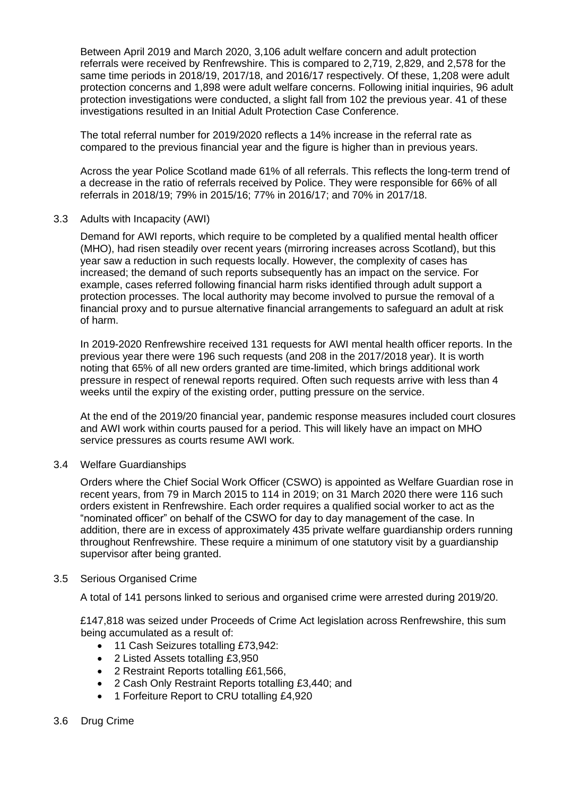Between April 2019 and March 2020, 3,106 adult welfare concern and adult protection referrals were received by Renfrewshire. This is compared to 2,719, 2,829, and 2,578 for the same time periods in 2018/19, 2017/18, and 2016/17 respectively. Of these, 1,208 were adult protection concerns and 1,898 were adult welfare concerns. Following initial inquiries, 96 adult protection investigations were conducted, a slight fall from 102 the previous year. 41 of these investigations resulted in an Initial Adult Protection Case Conference.

The total referral number for 2019/2020 reflects a 14% increase in the referral rate as compared to the previous financial year and the figure is higher than in previous years.

Across the year Police Scotland made 61% of all referrals. This reflects the long-term trend of a decrease in the ratio of referrals received by Police. They were responsible for 66% of all referrals in 2018/19; 79% in 2015/16; 77% in 2016/17; and 70% in 2017/18.

3.3 Adults with Incapacity (AWI)

Demand for AWI reports, which require to be completed by a qualified mental health officer (MHO), had risen steadily over recent years (mirroring increases across Scotland), but this year saw a reduction in such requests locally. However, the complexity of cases has increased; the demand of such reports subsequently has an impact on the service. For example, cases referred following financial harm risks identified through adult support a protection processes. The local authority may become involved to pursue the removal of a financial proxy and to pursue alternative financial arrangements to safeguard an adult at risk of harm.

In 2019-2020 Renfrewshire received 131 requests for AWI mental health officer reports. In the previous year there were 196 such requests (and 208 in the 2017/2018 year). It is worth noting that 65% of all new orders granted are time-limited, which brings additional work pressure in respect of renewal reports required. Often such requests arrive with less than 4 weeks until the expiry of the existing order, putting pressure on the service.

At the end of the 2019/20 financial year, pandemic response measures included court closures and AWI work within courts paused for a period. This will likely have an impact on MHO service pressures as courts resume AWI work.

3.4 Welfare Guardianships

Orders where the Chief Social Work Officer (CSWO) is appointed as Welfare Guardian rose in recent years, from 79 in March 2015 to 114 in 2019; on 31 March 2020 there were 116 such orders existent in Renfrewshire. Each order requires a qualified social worker to act as the "nominated officer" on behalf of the CSWO for day to day management of the case. In addition, there are in excess of approximately 435 private welfare guardianship orders running throughout Renfrewshire. These require a minimum of one statutory visit by a guardianship supervisor after being granted.

# 3.5 Serious Organised Crime

A total of 141 persons linked to serious and organised crime were arrested during 2019/20.

£147,818 was seized under Proceeds of Crime Act legislation across Renfrewshire, this sum being accumulated as a result of:

- 11 Cash Seizures totalling £73,942:
- 2 Listed Assets totalling £3,950
- 2 Restraint Reports totalling £61,566,
- 2 Cash Only Restraint Reports totalling £3,440; and
- 1 Forfeiture Report to CRU totalling £4,920

#### 3.6 Drug Crime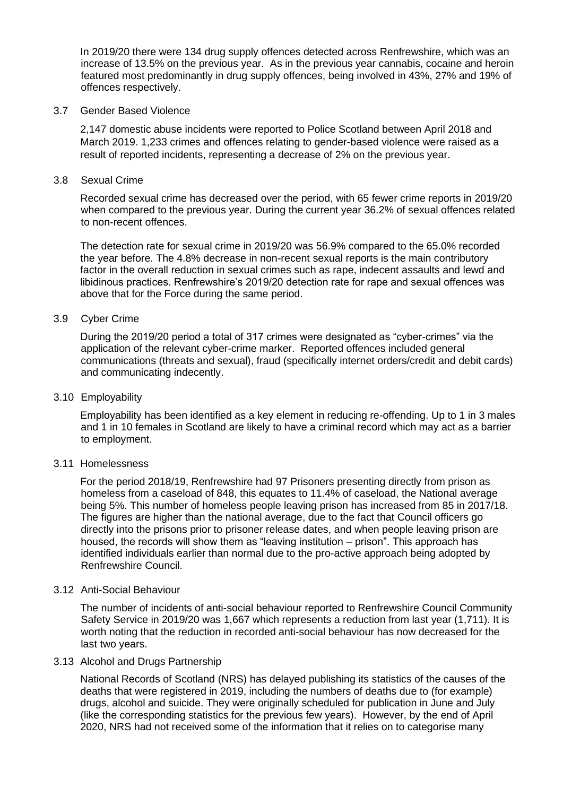In 2019/20 there were 134 drug supply offences detected across Renfrewshire, which was an increase of 13.5% on the previous year. As in the previous year cannabis, cocaine and heroin featured most predominantly in drug supply offences, being involved in 43%, 27% and 19% of offences respectively.

#### 3.7 Gender Based Violence

2,147 domestic abuse incidents were reported to Police Scotland between April 2018 and March 2019. 1,233 crimes and offences relating to gender-based violence were raised as a result of reported incidents, representing a decrease of 2% on the previous year.

3.8 Sexual Crime

Recorded sexual crime has decreased over the period, with 65 fewer crime reports in 2019/20 when compared to the previous year. During the current year 36.2% of sexual offences related to non-recent offences.

The detection rate for sexual crime in 2019/20 was 56.9% compared to the 65.0% recorded the year before. The 4.8% decrease in non-recent sexual reports is the main contributory factor in the overall reduction in sexual crimes such as rape, indecent assaults and lewd and libidinous practices. Renfrewshire's 2019/20 detection rate for rape and sexual offences was above that for the Force during the same period.

#### 3.9 Cyber Crime

During the 2019/20 period a total of 317 crimes were designated as "cyber-crimes" via the application of the relevant cyber-crime marker. Reported offences included general communications (threats and sexual), fraud (specifically internet orders/credit and debit cards) and communicating indecently.

#### 3.10 Employability

Employability has been identified as a key element in reducing re-offending. Up to 1 in 3 males and 1 in 10 females in Scotland are likely to have a criminal record which may act as a barrier to employment.

#### 3.11 Homelessness

For the period 2018/19, Renfrewshire had 97 Prisoners presenting directly from prison as homeless from a caseload of 848, this equates to 11.4% of caseload, the National average being 5%. This number of homeless people leaving prison has increased from 85 in 2017/18. The figures are higher than the national average, due to the fact that Council officers go directly into the prisons prior to prisoner release dates, and when people leaving prison are housed, the records will show them as "leaving institution – prison". This approach has identified individuals earlier than normal due to the pro-active approach being adopted by Renfrewshire Council.

#### 3.12 Anti-Social Behaviour

The number of incidents of anti-social behaviour reported to Renfrewshire Council Community Safety Service in 2019/20 was 1,667 which represents a reduction from last year (1,711). It is worth noting that the reduction in recorded anti-social behaviour has now decreased for the last two years.

#### 3.13 Alcohol and Drugs Partnership

National Records of Scotland (NRS) has delayed publishing its statistics of the causes of the deaths that were registered in 2019, including the numbers of deaths due to (for example) drugs, alcohol and suicide. They were originally scheduled for publication in June and July (like the corresponding statistics for the previous few years). However, by the end of April 2020, NRS had not received some of the information that it relies on to categorise many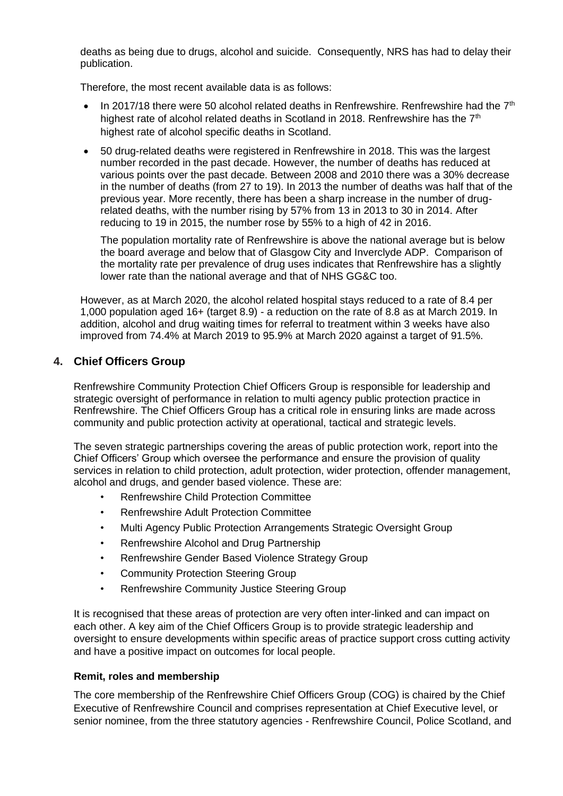deaths as being due to drugs, alcohol and suicide. Consequently, NRS has had to delay their publication.

Therefore, the most recent available data is as follows:

- In 2017/18 there were 50 alcohol related deaths in Renfrewshire. Renfrewshire had the  $7<sup>th</sup>$ highest rate of alcohol related deaths in Scotland in 2018. Renfrewshire has the  $7<sup>th</sup>$ highest rate of alcohol specific deaths in Scotland.
- 50 drug-related deaths were registered in Renfrewshire in 2018. This was the largest number recorded in the past decade. However, the number of deaths has reduced at various points over the past decade. Between 2008 and 2010 there was a 30% decrease in the number of deaths (from 27 to 19). In 2013 the number of deaths was half that of the previous year. More recently, there has been a sharp increase in the number of drugrelated deaths, with the number rising by 57% from 13 in 2013 to 30 in 2014. After reducing to 19 in 2015, the number rose by 55% to a high of 42 in 2016.

The population mortality rate of Renfrewshire is above the national average but is below the board average and below that of Glasgow City and Inverclyde ADP. Comparison of the mortality rate per prevalence of drug uses indicates that Renfrewshire has a slightly lower rate than the national average and that of NHS GG&C too.

However, as at March 2020, the alcohol related hospital stays reduced to a rate of 8.4 per 1,000 population aged 16+ (target 8.9) - a reduction on the rate of 8.8 as at March 2019. In addition, alcohol and drug waiting times for referral to treatment within 3 weeks have also improved from 74.4% at March 2019 to 95.9% at March 2020 against a target of 91.5%.

# **4. Chief Officers Group**

Renfrewshire Community Protection Chief Officers Group is responsible for leadership and strategic oversight of performance in relation to multi agency public protection practice in Renfrewshire. The Chief Officers Group has a critical role in ensuring links are made across community and public protection activity at operational, tactical and strategic levels.

The seven strategic partnerships covering the areas of public protection work, report into the Chief Officers' Group which oversee the performance and ensure the provision of quality services in relation to child protection, adult protection, wider protection, offender management, alcohol and drugs, and gender based violence. These are:

- Renfrewshire Child Protection Committee
- Renfrewshire Adult Protection Committee
- Multi Agency Public Protection Arrangements Strategic Oversight Group
- Renfrewshire Alcohol and Drug Partnership
- Renfrewshire Gender Based Violence Strategy Group
- Community Protection Steering Group
- Renfrewshire Community Justice Steering Group

It is recognised that these areas of protection are very often inter-linked and can impact on each other. A key aim of the Chief Officers Group is to provide strategic leadership and oversight to ensure developments within specific areas of practice support cross cutting activity and have a positive impact on outcomes for local people.

# **Remit, roles and membership**

The core membership of the Renfrewshire Chief Officers Group (COG) is chaired by the Chief Executive of Renfrewshire Council and comprises representation at Chief Executive level, or senior nominee, from the three statutory agencies - Renfrewshire Council, Police Scotland, and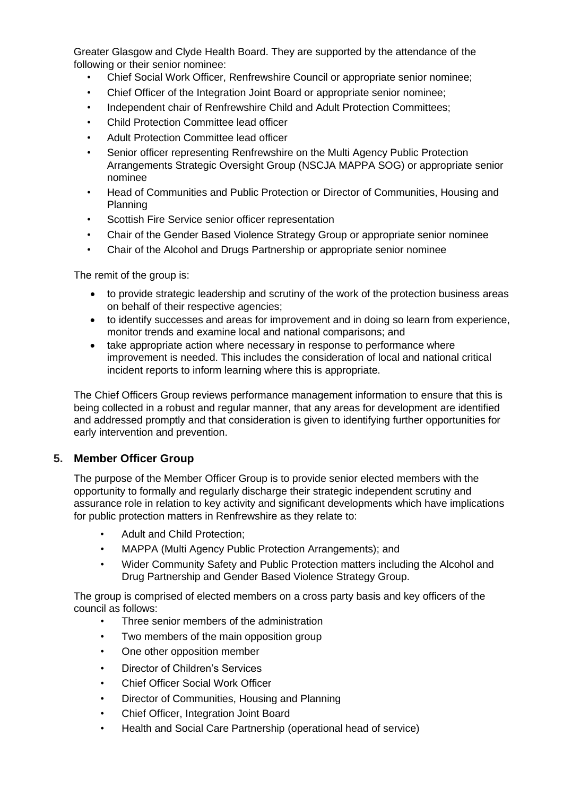Greater Glasgow and Clyde Health Board. They are supported by the attendance of the following or their senior nominee:

- Chief Social Work Officer, Renfrewshire Council or appropriate senior nominee;
- Chief Officer of the Integration Joint Board or appropriate senior nominee;
- Independent chair of Renfrewshire Child and Adult Protection Committees;
- Child Protection Committee lead officer
- Adult Protection Committee lead officer
- Senior officer representing Renfrewshire on the Multi Agency Public Protection Arrangements Strategic Oversight Group (NSCJA MAPPA SOG) or appropriate senior nominee
- Head of Communities and Public Protection or Director of Communities, Housing and Planning
- Scottish Fire Service senior officer representation
- Chair of the Gender Based Violence Strategy Group or appropriate senior nominee
- Chair of the Alcohol and Drugs Partnership or appropriate senior nominee

The remit of the group is:

- to provide strategic leadership and scrutiny of the work of the protection business areas on behalf of their respective agencies;
- to identify successes and areas for improvement and in doing so learn from experience, monitor trends and examine local and national comparisons; and
- take appropriate action where necessary in response to performance where improvement is needed. This includes the consideration of local and national critical incident reports to inform learning where this is appropriate.

The Chief Officers Group reviews performance management information to ensure that this is being collected in a robust and regular manner, that any areas for development are identified and addressed promptly and that consideration is given to identifying further opportunities for early intervention and prevention.

# **5. Member Officer Group**

The purpose of the Member Officer Group is to provide senior elected members with the opportunity to formally and regularly discharge their strategic independent scrutiny and assurance role in relation to key activity and significant developments which have implications for public protection matters in Renfrewshire as they relate to:

- Adult and Child Protection;
- MAPPA (Multi Agency Public Protection Arrangements); and
- Wider Community Safety and Public Protection matters including the Alcohol and Drug Partnership and Gender Based Violence Strategy Group.

The group is comprised of elected members on a cross party basis and key officers of the council as follows:

- Three senior members of the administration
- Two members of the main opposition group
- One other opposition member
- Director of Children's Services
- Chief Officer Social Work Officer
- Director of Communities, Housing and Planning
- Chief Officer, Integration Joint Board
- Health and Social Care Partnership (operational head of service)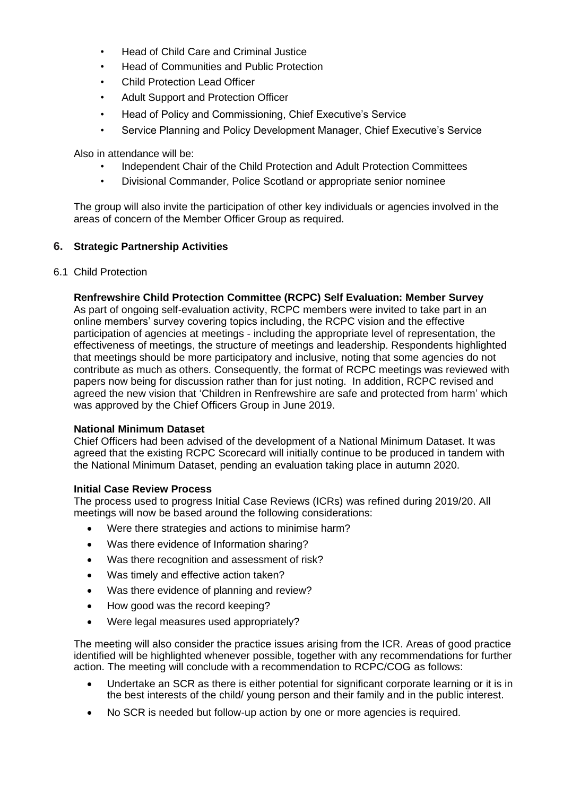- Head of Child Care and Criminal Justice
- Head of Communities and Public Protection
- Child Protection Lead Officer
- Adult Support and Protection Officer
- Head of Policy and Commissioning, Chief Executive's Service
- Service Planning and Policy Development Manager, Chief Executive's Service

Also in attendance will be:

- Independent Chair of the Child Protection and Adult Protection Committees
- Divisional Commander, Police Scotland or appropriate senior nominee

The group will also invite the participation of other key individuals or agencies involved in the areas of concern of the Member Officer Group as required.

# **6. Strategic Partnership Activities**

#### 6.1 Child Protection

#### **Renfrewshire Child Protection Committee (RCPC) Self Evaluation: Member Survey**

As part of ongoing self-evaluation activity, RCPC members were invited to take part in an online members' survey covering topics including, the RCPC vision and the effective participation of agencies at meetings - including the appropriate level of representation, the effectiveness of meetings, the structure of meetings and leadership. Respondents highlighted that meetings should be more participatory and inclusive, noting that some agencies do not contribute as much as others. Consequently, the format of RCPC meetings was reviewed with papers now being for discussion rather than for just noting. In addition, RCPC revised and agreed the new vision that 'Children in Renfrewshire are safe and protected from harm' which was approved by the Chief Officers Group in June 2019.

#### **National Minimum Dataset**

Chief Officers had been advised of the development of a National Minimum Dataset. It was agreed that the existing RCPC Scorecard will initially continue to be produced in tandem with the National Minimum Dataset, pending an evaluation taking place in autumn 2020.

#### **Initial Case Review Process**

The process used to progress Initial Case Reviews (ICRs) was refined during 2019/20. All meetings will now be based around the following considerations:

- Were there strategies and actions to minimise harm?
- Was there evidence of Information sharing?
- Was there recognition and assessment of risk?
- Was timely and effective action taken?
- Was there evidence of planning and review?
- How good was the record keeping?
- Were legal measures used appropriately?

The meeting will also consider the practice issues arising from the ICR. Areas of good practice identified will be highlighted whenever possible, together with any recommendations for further action. The meeting will conclude with a recommendation to RCPC/COG as follows:

- Undertake an SCR as there is either potential for significant corporate learning or it is in the best interests of the child/ young person and their family and in the public interest.
- No SCR is needed but follow-up action by one or more agencies is required.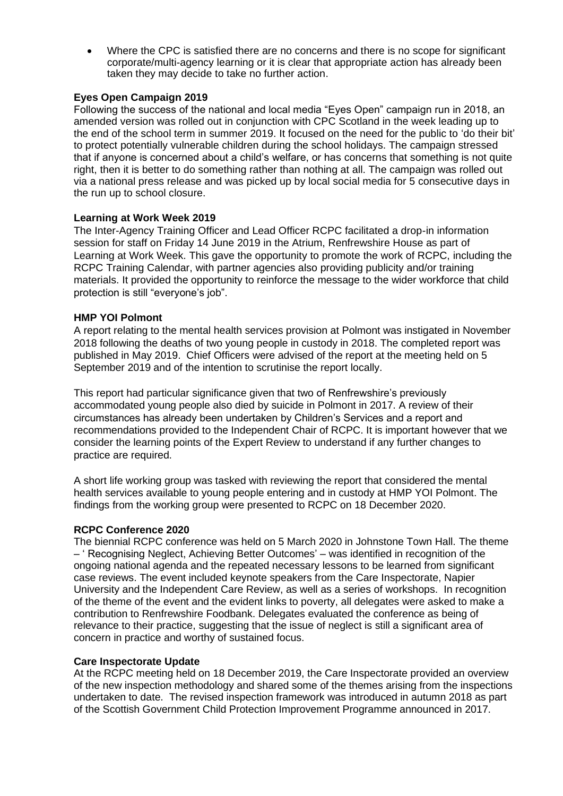• Where the CPC is satisfied there are no concerns and there is no scope for significant corporate/multi-agency learning or it is clear that appropriate action has already been taken they may decide to take no further action.

# **Eyes Open Campaign 2019**

Following the success of the national and local media "Eyes Open" campaign run in 2018, an amended version was rolled out in conjunction with CPC Scotland in the week leading up to the end of the school term in summer 2019. It focused on the need for the public to 'do their bit' to protect potentially vulnerable children during the school holidays. The campaign stressed that if anyone is concerned about a child's welfare, or has concerns that something is not quite right, then it is better to do something rather than nothing at all. The campaign was rolled out via a national press release and was picked up by local social media for 5 consecutive days in the run up to school closure.

# **Learning at Work Week 2019**

The Inter-Agency Training Officer and Lead Officer RCPC facilitated a drop-in information session for staff on Friday 14 June 2019 in the Atrium, Renfrewshire House as part of Learning at Work Week. This gave the opportunity to promote the work of RCPC, including the RCPC Training Calendar, with partner agencies also providing publicity and/or training materials. It provided the opportunity to reinforce the message to the wider workforce that child protection is still "everyone's job".

# **HMP YOI Polmont**

A report relating to the mental health services provision at Polmont was instigated in November 2018 following the deaths of two young people in custody in 2018. The completed report was published in May 2019. Chief Officers were advised of the report at the meeting held on 5 September 2019 and of the intention to scrutinise the report locally.

This report had particular significance given that two of Renfrewshire's previously accommodated young people also died by suicide in Polmont in 2017. A review of their circumstances has already been undertaken by Children's Services and a report and recommendations provided to the Independent Chair of RCPC. It is important however that we consider the learning points of the Expert Review to understand if any further changes to practice are required.

A short life working group was tasked with reviewing the report that considered the mental health services available to young people entering and in custody at HMP YOI Polmont. The findings from the working group were presented to RCPC on 18 December 2020.

# **RCPC Conference 2020**

The biennial RCPC conference was held on 5 March 2020 in Johnstone Town Hall. The theme – ' Recognising Neglect, Achieving Better Outcomes' – was identified in recognition of the ongoing national agenda and the repeated necessary lessons to be learned from significant case reviews. The event included keynote speakers from the Care Inspectorate, Napier University and the Independent Care Review, as well as a series of workshops. In recognition of the theme of the event and the evident links to poverty, all delegates were asked to make a contribution to Renfrewshire Foodbank. Delegates evaluated the conference as being of relevance to their practice, suggesting that the issue of neglect is still a significant area of concern in practice and worthy of sustained focus.

# **Care Inspectorate Update**

At the RCPC meeting held on 18 December 2019, the Care Inspectorate provided an overview of the new inspection methodology and shared some of the themes arising from the inspections undertaken to date. The revised inspection framework was introduced in autumn 2018 as part of the Scottish Government Child Protection Improvement Programme announced in 2017.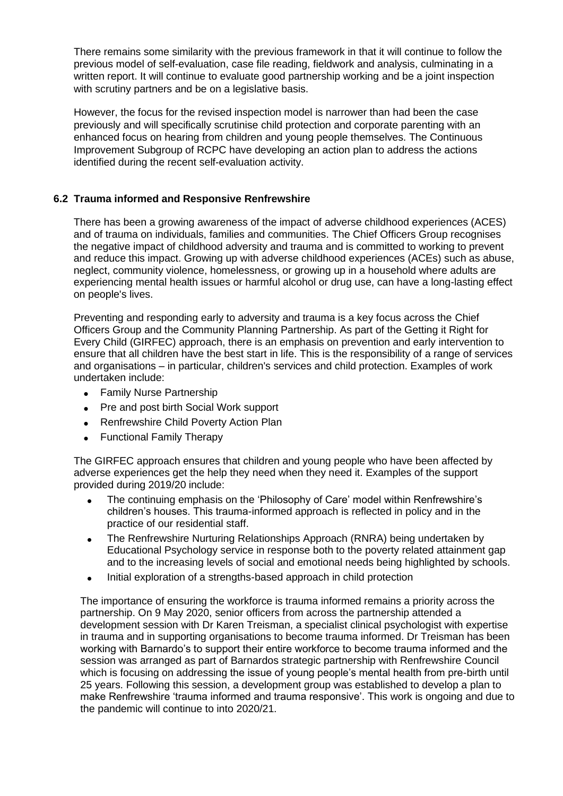There remains some similarity with the previous framework in that it will continue to follow the previous model of self-evaluation, case file reading, fieldwork and analysis, culminating in a written report. It will continue to evaluate good partnership working and be a joint inspection with scrutiny partners and be on a legislative basis.

However, the focus for the revised inspection model is narrower than had been the case previously and will specifically scrutinise child protection and corporate parenting with an enhanced focus on hearing from children and young people themselves. The Continuous Improvement Subgroup of RCPC have developing an action plan to address the actions identified during the recent self-evaluation activity.

# **6.2 Trauma informed and Responsive Renfrewshire**

There has been a growing awareness of the impact of adverse childhood experiences (ACES) and of trauma on individuals, families and communities. The Chief Officers Group recognises the negative impact of childhood adversity and trauma and is committed to working to prevent and reduce this impact. Growing up with adverse childhood experiences (ACEs) such as abuse, neglect, community violence, homelessness, or growing up in a household where adults are experiencing mental health issues or harmful alcohol or drug use, can have a long-lasting effect on people's lives.

Preventing and responding early to adversity and trauma is a key focus across the Chief Officers Group and the Community Planning Partnership. As part of the Getting it Right for Every Child (GIRFEC) approach, there is an emphasis on prevention and early intervention to ensure that all children have the best start in life. This is the responsibility of a range of services and organisations – in particular, children's services and child protection. Examples of work undertaken include:

- Family Nurse Partnership
- Pre and post birth Social Work support
- Renfrewshire Child Poverty Action Plan
- Functional Family Therapy

The GIRFEC approach ensures that children and young people who have been affected by adverse experiences get the help they need when they need it. Examples of the support provided during 2019/20 include:

- The continuing emphasis on the 'Philosophy of Care' model within Renfrewshire's children's houses. This trauma-informed approach is reflected in policy and in the practice of our residential staff.
- The Renfrewshire Nurturing Relationships Approach (RNRA) being undertaken by Educational Psychology service in response both to the poverty related attainment gap and to the increasing levels of social and emotional needs being highlighted by schools.
- Initial exploration of a strengths-based approach in child protection

The importance of ensuring the workforce is trauma informed remains a priority across the partnership. On 9 May 2020, senior officers from across the partnership attended a development session with Dr Karen Treisman, a specialist clinical psychologist with expertise in trauma and in supporting organisations to become trauma informed. Dr Treisman has been working with Barnardo's to support their entire workforce to become trauma informed and the session was arranged as part of Barnardos strategic partnership with Renfrewshire Council which is focusing on addressing the issue of young people's mental health from pre-birth until 25 years. Following this session, a development group was established to develop a plan to make Renfrewshire 'trauma informed and trauma responsive'. This work is ongoing and due to the pandemic will continue to into 2020/21.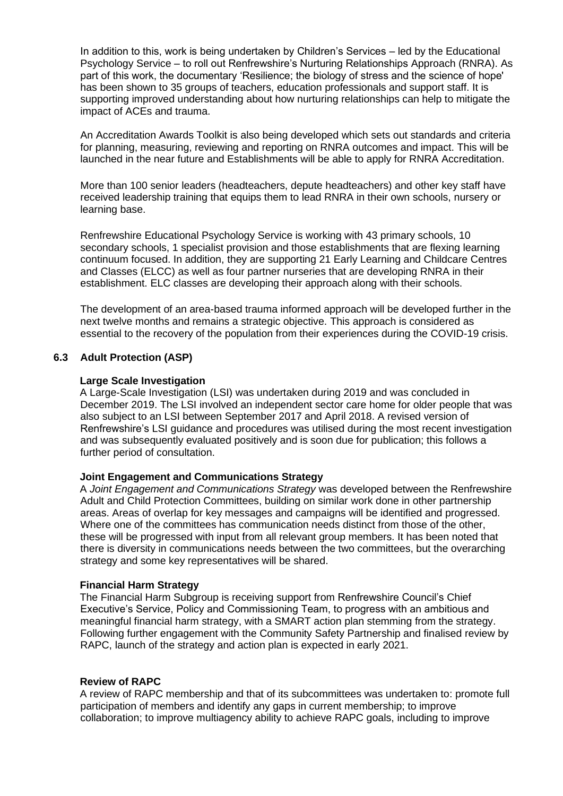In addition to this, work is being undertaken by Children's Services – led by the Educational Psychology Service – to roll out Renfrewshire's Nurturing Relationships Approach (RNRA). As part of this work, the documentary 'Resilience; the biology of stress and the science of hope' has been shown to 35 groups of teachers, education professionals and support staff. It is supporting improved understanding about how nurturing relationships can help to mitigate the impact of ACEs and trauma.

An Accreditation Awards Toolkit is also being developed which sets out standards and criteria for planning, measuring, reviewing and reporting on RNRA outcomes and impact. This will be launched in the near future and Establishments will be able to apply for RNRA Accreditation.

More than 100 senior leaders (headteachers, depute headteachers) and other key staff have received leadership training that equips them to lead RNRA in their own schools, nursery or learning base.

Renfrewshire Educational Psychology Service is working with 43 primary schools, 10 secondary schools, 1 specialist provision and those establishments that are flexing learning continuum focused. In addition, they are supporting 21 Early Learning and Childcare Centres and Classes (ELCC) as well as four partner nurseries that are developing RNRA in their establishment. ELC classes are developing their approach along with their schools.

The development of an area-based trauma informed approach will be developed further in the next twelve months and remains a strategic objective. This approach is considered as essential to the recovery of the population from their experiences during the COVID-19 crisis.

# **6.3 Adult Protection (ASP)**

# **Large Scale Investigation**

A Large-Scale Investigation (LSI) was undertaken during 2019 and was concluded in December 2019. The LSI involved an independent sector care home for older people that was also subject to an LSI between September 2017 and April 2018. A revised version of Renfrewshire's LSI guidance and procedures was utilised during the most recent investigation and was subsequently evaluated positively and is soon due for publication; this follows a further period of consultation.

# **Joint Engagement and Communications Strategy**

A *Joint Engagement and Communications Strategy* was developed between the Renfrewshire Adult and Child Protection Committees, building on similar work done in other partnership areas. Areas of overlap for key messages and campaigns will be identified and progressed. Where one of the committees has communication needs distinct from those of the other, these will be progressed with input from all relevant group members. It has been noted that there is diversity in communications needs between the two committees, but the overarching strategy and some key representatives will be shared.

#### **Financial Harm Strategy**

The Financial Harm Subgroup is receiving support from Renfrewshire Council's Chief Executive's Service, Policy and Commissioning Team, to progress with an ambitious and meaningful financial harm strategy, with a SMART action plan stemming from the strategy. Following further engagement with the Community Safety Partnership and finalised review by RAPC, launch of the strategy and action plan is expected in early 2021.

#### **Review of RAPC**

A review of RAPC membership and that of its subcommittees was undertaken to: promote full participation of members and identify any gaps in current membership; to improve collaboration; to improve multiagency ability to achieve RAPC goals, including to improve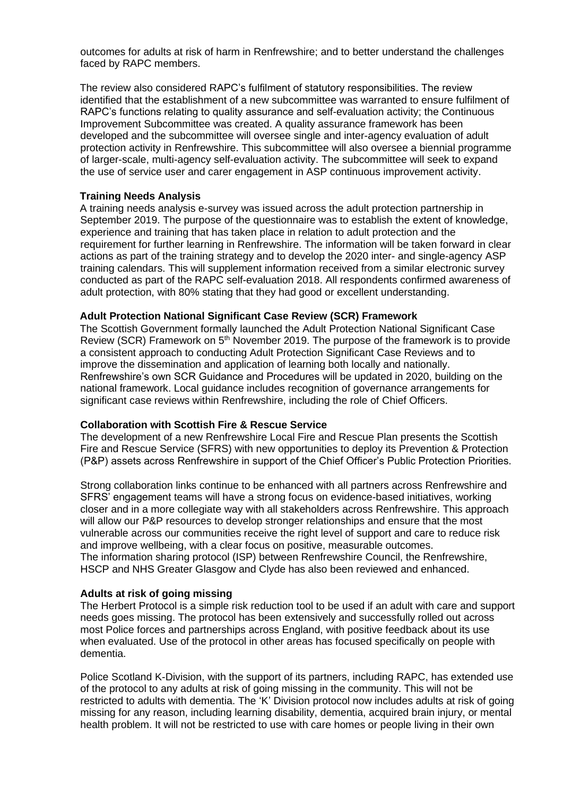outcomes for adults at risk of harm in Renfrewshire; and to better understand the challenges faced by RAPC members.

The review also considered RAPC's fulfilment of statutory responsibilities. The review identified that the establishment of a new subcommittee was warranted to ensure fulfilment of RAPC's functions relating to quality assurance and self-evaluation activity; the Continuous Improvement Subcommittee was created. A quality assurance framework has been developed and the subcommittee will oversee single and inter-agency evaluation of adult protection activity in Renfrewshire. This subcommittee will also oversee a biennial programme of larger-scale, multi-agency self-evaluation activity. The subcommittee will seek to expand the use of service user and carer engagement in ASP continuous improvement activity.

#### **Training Needs Analysis**

A training needs analysis e-survey was issued across the adult protection partnership in September 2019. The purpose of the questionnaire was to establish the extent of knowledge, experience and training that has taken place in relation to adult protection and the requirement for further learning in Renfrewshire. The information will be taken forward in clear actions as part of the training strategy and to develop the 2020 inter- and single-agency ASP training calendars. This will supplement information received from a similar electronic survey conducted as part of the RAPC self-evaluation 2018. All respondents confirmed awareness of adult protection, with 80% stating that they had good or excellent understanding.

#### **Adult Protection National Significant Case Review (SCR) Framework**

The Scottish Government formally launched the Adult Protection National Significant Case Review (SCR) Framework on 5<sup>th</sup> November 2019. The purpose of the framework is to provide a consistent approach to conducting Adult Protection Significant Case Reviews and to improve the dissemination and application of learning both locally and nationally. Renfrewshire's own SCR Guidance and Procedures will be updated in 2020, building on the national framework. Local guidance includes recognition of governance arrangements for significant case reviews within Renfrewshire, including the role of Chief Officers.

#### **Collaboration with Scottish Fire & Rescue Service**

The development of a new Renfrewshire Local Fire and Rescue Plan presents the Scottish Fire and Rescue Service (SFRS) with new opportunities to deploy its Prevention & Protection (P&P) assets across Renfrewshire in support of the Chief Officer's Public Protection Priorities.

Strong collaboration links continue to be enhanced with all partners across Renfrewshire and SFRS' engagement teams will have a strong focus on evidence-based initiatives, working closer and in a more collegiate way with all stakeholders across Renfrewshire. This approach will allow our P&P resources to develop stronger relationships and ensure that the most vulnerable across our communities receive the right level of support and care to reduce risk and improve wellbeing, with a clear focus on positive, measurable outcomes. The information sharing protocol (ISP) between Renfrewshire Council, the Renfrewshire, HSCP and NHS Greater Glasgow and Clyde has also been reviewed and enhanced.

#### **Adults at risk of going missing**

The Herbert Protocol is a simple risk reduction tool to be used if an adult with care and support needs goes missing. The protocol has been extensively and successfully rolled out across most Police forces and partnerships across England, with positive feedback about its use when evaluated. Use of the protocol in other areas has focused specifically on people with dementia.

Police Scotland K-Division, with the support of its partners, including RAPC, has extended use of the protocol to any adults at risk of going missing in the community. This will not be restricted to adults with dementia. The 'K' Division protocol now includes adults at risk of going missing for any reason, including learning disability, dementia, acquired brain injury, or mental health problem. It will not be restricted to use with care homes or people living in their own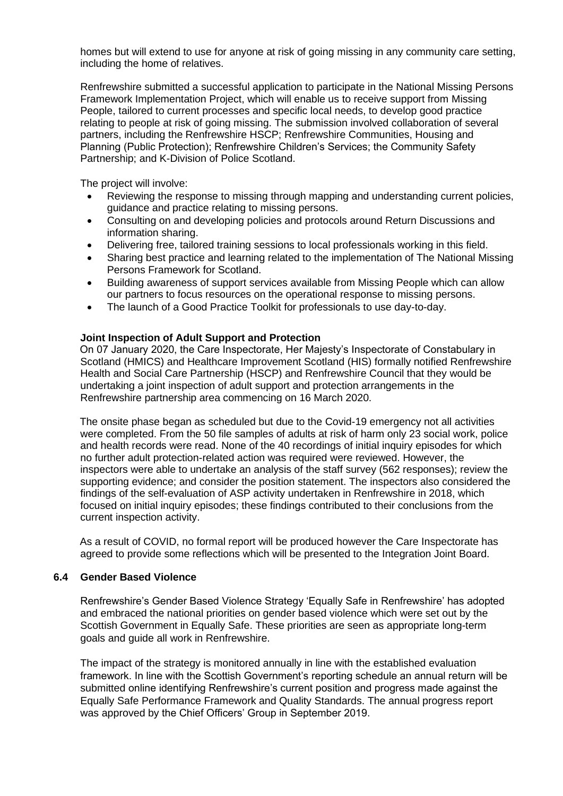homes but will extend to use for anyone at risk of going missing in any community care setting, including the home of relatives.

Renfrewshire submitted a successful application to participate in the National Missing Persons Framework Implementation Project, which will enable us to receive support from Missing People, tailored to current processes and specific local needs, to develop good practice relating to people at risk of going missing. The submission involved collaboration of several partners, including the Renfrewshire HSCP; Renfrewshire Communities, Housing and Planning (Public Protection); Renfrewshire Children's Services; the Community Safety Partnership; and K-Division of Police Scotland.

The project will involve:

- Reviewing the response to missing through mapping and understanding current policies, guidance and practice relating to missing persons.
- Consulting on and developing policies and protocols around Return Discussions and information sharing.
- Delivering free, tailored training sessions to local professionals working in this field.
- Sharing best practice and learning related to the implementation of The National Missing Persons Framework for Scotland.
- Building awareness of support services available from Missing People which can allow our partners to focus resources on the operational response to missing persons.
- The launch of a Good Practice Toolkit for professionals to use day-to-day.

#### **Joint Inspection of Adult Support and Protection**

On 07 January 2020, the Care Inspectorate, Her Majesty's Inspectorate of Constabulary in Scotland (HMICS) and Healthcare Improvement Scotland (HIS) formally notified Renfrewshire Health and Social Care Partnership (HSCP) and Renfrewshire Council that they would be undertaking a joint inspection of adult support and protection arrangements in the Renfrewshire partnership area commencing on 16 March 2020.

The onsite phase began as scheduled but due to the Covid-19 emergency not all activities were completed. From the 50 file samples of adults at risk of harm only 23 social work, police and health records were read. None of the 40 recordings of initial inquiry episodes for which no further adult protection-related action was required were reviewed. However, the inspectors were able to undertake an analysis of the staff survey (562 responses); review the supporting evidence; and consider the position statement. The inspectors also considered the findings of the self-evaluation of ASP activity undertaken in Renfrewshire in 2018, which focused on initial inquiry episodes; these findings contributed to their conclusions from the current inspection activity.

As a result of COVID, no formal report will be produced however the Care Inspectorate has agreed to provide some reflections which will be presented to the Integration Joint Board.

#### **6.4 Gender Based Violence**

Renfrewshire's Gender Based Violence Strategy 'Equally Safe in Renfrewshire' has adopted and embraced the national priorities on gender based violence which were set out by the Scottish Government in Equally Safe. These priorities are seen as appropriate long-term goals and guide all work in Renfrewshire.

The impact of the strategy is monitored annually in line with the established evaluation framework. In line with the Scottish Government's reporting schedule an annual return will be submitted online identifying Renfrewshire's current position and progress made against the Equally Safe Performance Framework and Quality Standards. The annual progress report was approved by the Chief Officers' Group in September 2019.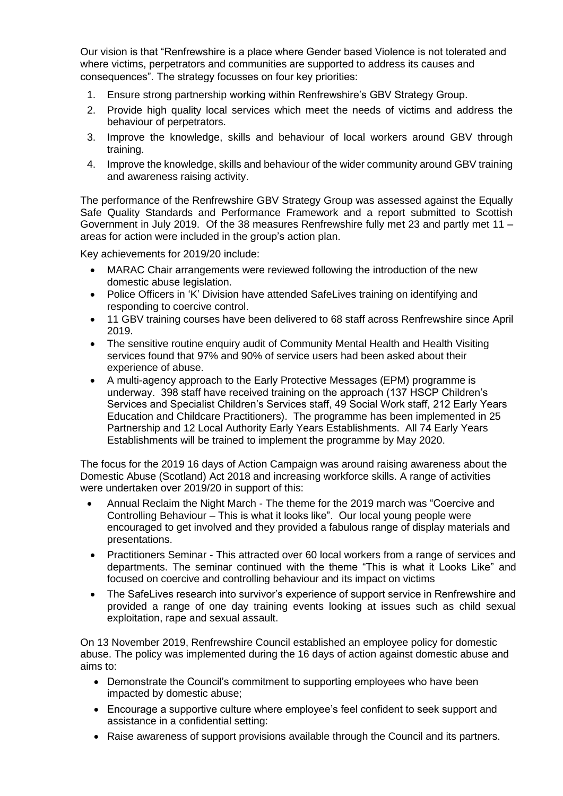Our vision is that "Renfrewshire is a place where Gender based Violence is not tolerated and where victims, perpetrators and communities are supported to address its causes and consequences". The strategy focusses on four key priorities:

- 1. Ensure strong partnership working within Renfrewshire's GBV Strategy Group.
- 2. Provide high quality local services which meet the needs of victims and address the behaviour of perpetrators.
- 3. Improve the knowledge, skills and behaviour of local workers around GBV through training.
- 4. Improve the knowledge, skills and behaviour of the wider community around GBV training and awareness raising activity.

The performance of the Renfrewshire GBV Strategy Group was assessed against the Equally Safe Quality Standards and Performance Framework and a report submitted to Scottish Government in July 2019. Of the 38 measures Renfrewshire fully met 23 and partly met 11 – areas for action were included in the group's action plan.

Key achievements for 2019/20 include:

- MARAC Chair arrangements were reviewed following the introduction of the new domestic abuse legislation.
- Police Officers in 'K' Division have attended SafeLives training on identifying and responding to coercive control.
- 11 GBV training courses have been delivered to 68 staff across Renfrewshire since April 2019.
- The sensitive routine enquiry audit of Community Mental Health and Health Visiting services found that 97% and 90% of service users had been asked about their experience of abuse.
- A multi-agency approach to the Early Protective Messages (EPM) programme is underway. 398 staff have received training on the approach (137 HSCP Children's Services and Specialist Children's Services staff, 49 Social Work staff, 212 Early Years Education and Childcare Practitioners). The programme has been implemented in 25 Partnership and 12 Local Authority Early Years Establishments. All 74 Early Years Establishments will be trained to implement the programme by May 2020.

The focus for the 2019 16 days of Action Campaign was around raising awareness about the Domestic Abuse (Scotland) Act 2018 and increasing workforce skills. A range of activities were undertaken over 2019/20 in support of this:

- Annual Reclaim the Night March The theme for the 2019 march was "Coercive and Controlling Behaviour – This is what it looks like". Our local young people were encouraged to get involved and they provided a fabulous range of display materials and presentations.
- Practitioners Seminar This attracted over 60 local workers from a range of services and departments. The seminar continued with the theme "This is what it Looks Like" and focused on coercive and controlling behaviour and its impact on victims
- The SafeLives research into survivor's experience of support service in Renfrewshire and provided a range of one day training events looking at issues such as child sexual exploitation, rape and sexual assault.

On 13 November 2019, Renfrewshire Council established an employee policy for domestic abuse. The policy was implemented during the 16 days of action against domestic abuse and aims to:

- Demonstrate the Council's commitment to supporting employees who have been impacted by domestic abuse;
- Encourage a supportive culture where employee's feel confident to seek support and assistance in a confidential setting:
- Raise awareness of support provisions available through the Council and its partners.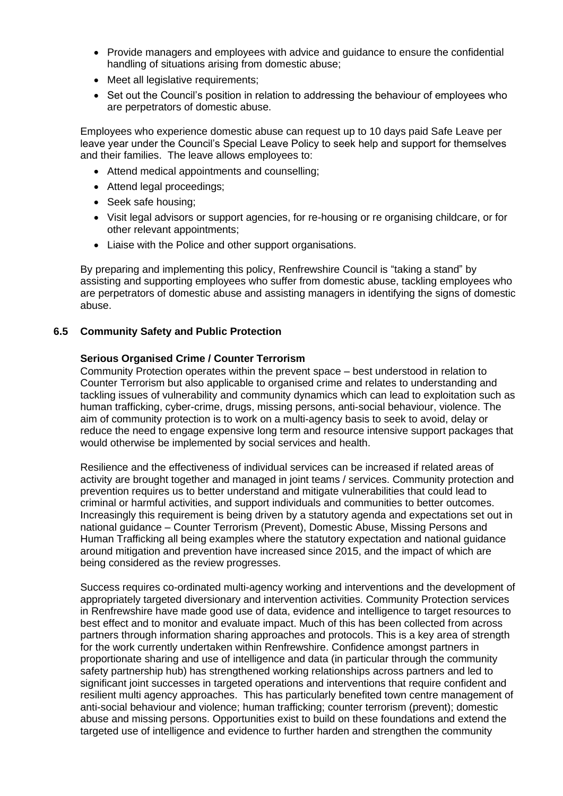- Provide managers and employees with advice and guidance to ensure the confidential handling of situations arising from domestic abuse;
- Meet all legislative requirements;
- Set out the Council's position in relation to addressing the behaviour of employees who are perpetrators of domestic abuse.

Employees who experience domestic abuse can request up to 10 days paid Safe Leave per leave year under the Council's Special Leave Policy to seek help and support for themselves and their families. The leave allows employees to:

- Attend medical appointments and counselling;
- Attend legal proceedings;
- Seek safe housing;
- Visit legal advisors or support agencies, for re-housing or re organising childcare, or for other relevant appointments;
- Liaise with the Police and other support organisations.

By preparing and implementing this policy, Renfrewshire Council is "taking a stand" by assisting and supporting employees who suffer from domestic abuse, tackling employees who are perpetrators of domestic abuse and assisting managers in identifying the signs of domestic abuse.

#### **6.5 Community Safety and Public Protection**

#### **Serious Organised Crime / Counter Terrorism**

Community Protection operates within the prevent space – best understood in relation to Counter Terrorism but also applicable to organised crime and relates to understanding and tackling issues of vulnerability and community dynamics which can lead to exploitation such as human trafficking, cyber-crime, drugs, missing persons, anti-social behaviour, violence. The aim of community protection is to work on a multi-agency basis to seek to avoid, delay or reduce the need to engage expensive long term and resource intensive support packages that would otherwise be implemented by social services and health.

Resilience and the effectiveness of individual services can be increased if related areas of activity are brought together and managed in joint teams / services. Community protection and prevention requires us to better understand and mitigate vulnerabilities that could lead to criminal or harmful activities, and support individuals and communities to better outcomes. Increasingly this requirement is being driven by a statutory agenda and expectations set out in national guidance – Counter Terrorism (Prevent), Domestic Abuse, Missing Persons and Human Trafficking all being examples where the statutory expectation and national guidance around mitigation and prevention have increased since 2015, and the impact of which are being considered as the review progresses.

Success requires co-ordinated multi-agency working and interventions and the development of appropriately targeted diversionary and intervention activities. Community Protection services in Renfrewshire have made good use of data, evidence and intelligence to target resources to best effect and to monitor and evaluate impact. Much of this has been collected from across partners through information sharing approaches and protocols. This is a key area of strength for the work currently undertaken within Renfrewshire. Confidence amongst partners in proportionate sharing and use of intelligence and data (in particular through the community safety partnership hub) has strengthened working relationships across partners and led to significant joint successes in targeted operations and interventions that require confident and resilient multi agency approaches. This has particularly benefited town centre management of anti-social behaviour and violence; human trafficking; counter terrorism (prevent); domestic abuse and missing persons. Opportunities exist to build on these foundations and extend the targeted use of intelligence and evidence to further harden and strengthen the community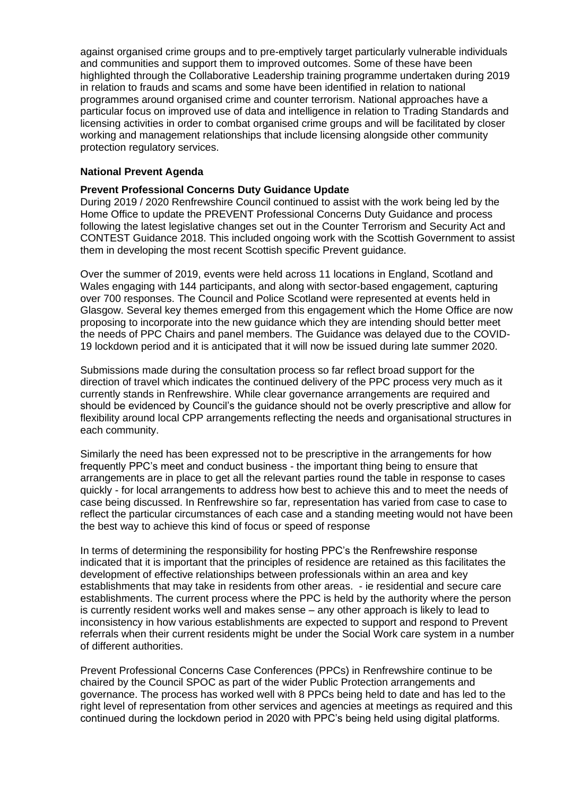against organised crime groups and to pre-emptively target particularly vulnerable individuals and communities and support them to improved outcomes. Some of these have been highlighted through the Collaborative Leadership training programme undertaken during 2019 in relation to frauds and scams and some have been identified in relation to national programmes around organised crime and counter terrorism. National approaches have a particular focus on improved use of data and intelligence in relation to Trading Standards and licensing activities in order to combat organised crime groups and will be facilitated by closer working and management relationships that include licensing alongside other community protection regulatory services.

#### **National Prevent Agenda**

#### **Prevent Professional Concerns Duty Guidance Update**

During 2019 / 2020 Renfrewshire Council continued to assist with the work being led by the Home Office to update the PREVENT Professional Concerns Duty Guidance and process following the latest legislative changes set out in the Counter Terrorism and Security Act and CONTEST Guidance 2018. This included ongoing work with the Scottish Government to assist them in developing the most recent Scottish specific Prevent guidance.

Over the summer of 2019, events were held across 11 locations in England, Scotland and Wales engaging with 144 participants, and along with sector-based engagement, capturing over 700 responses. The Council and Police Scotland were represented at events held in Glasgow. Several key themes emerged from this engagement which the Home Office are now proposing to incorporate into the new guidance which they are intending should better meet the needs of PPC Chairs and panel members. The Guidance was delayed due to the COVID-19 lockdown period and it is anticipated that it will now be issued during late summer 2020.

Submissions made during the consultation process so far reflect broad support for the direction of travel which indicates the continued delivery of the PPC process very much as it currently stands in Renfrewshire. While clear governance arrangements are required and should be evidenced by Council's the guidance should not be overly prescriptive and allow for flexibility around local CPP arrangements reflecting the needs and organisational structures in each community.

Similarly the need has been expressed not to be prescriptive in the arrangements for how frequently PPC's meet and conduct business - the important thing being to ensure that arrangements are in place to get all the relevant parties round the table in response to cases quickly - for local arrangements to address how best to achieve this and to meet the needs of case being discussed. In Renfrewshire so far, representation has varied from case to case to reflect the particular circumstances of each case and a standing meeting would not have been the best way to achieve this kind of focus or speed of response

In terms of determining the responsibility for hosting PPC's the Renfrewshire response indicated that it is important that the principles of residence are retained as this facilitates the development of effective relationships between professionals within an area and key establishments that may take in residents from other areas. - ie residential and secure care establishments. The current process where the PPC is held by the authority where the person is currently resident works well and makes sense – any other approach is likely to lead to inconsistency in how various establishments are expected to support and respond to Prevent referrals when their current residents might be under the Social Work care system in a number of different authorities.

Prevent Professional Concerns Case Conferences (PPCs) in Renfrewshire continue to be chaired by the Council SPOC as part of the wider Public Protection arrangements and governance. The process has worked well with 8 PPCs being held to date and has led to the right level of representation from other services and agencies at meetings as required and this continued during the lockdown period in 2020 with PPC's being held using digital platforms.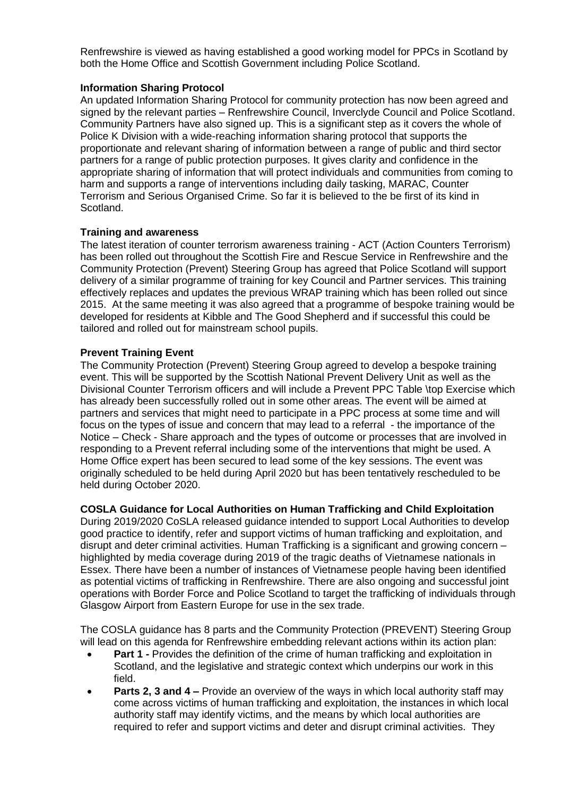Renfrewshire is viewed as having established a good working model for PPCs in Scotland by both the Home Office and Scottish Government including Police Scotland.

# **Information Sharing Protocol**

An updated Information Sharing Protocol for community protection has now been agreed and signed by the relevant parties – Renfrewshire Council, Inverclyde Council and Police Scotland. Community Partners have also signed up. This is a significant step as it covers the whole of Police K Division with a wide-reaching information sharing protocol that supports the proportionate and relevant sharing of information between a range of public and third sector partners for a range of public protection purposes. It gives clarity and confidence in the appropriate sharing of information that will protect individuals and communities from coming to harm and supports a range of interventions including daily tasking, MARAC, Counter Terrorism and Serious Organised Crime. So far it is believed to the be first of its kind in Scotland.

#### **Training and awareness**

The latest iteration of counter terrorism awareness training - ACT (Action Counters Terrorism) has been rolled out throughout the Scottish Fire and Rescue Service in Renfrewshire and the Community Protection (Prevent) Steering Group has agreed that Police Scotland will support delivery of a similar programme of training for key Council and Partner services. This training effectively replaces and updates the previous WRAP training which has been rolled out since 2015. At the same meeting it was also agreed that a programme of bespoke training would be developed for residents at Kibble and The Good Shepherd and if successful this could be tailored and rolled out for mainstream school pupils.

#### **Prevent Training Event**

The Community Protection (Prevent) Steering Group agreed to develop a bespoke training event. This will be supported by the Scottish National Prevent Delivery Unit as well as the Divisional Counter Terrorism officers and will include a Prevent PPC Table \top Exercise which has already been successfully rolled out in some other areas. The event will be aimed at partners and services that might need to participate in a PPC process at some time and will focus on the types of issue and concern that may lead to a referral - the importance of the Notice – Check - Share approach and the types of outcome or processes that are involved in responding to a Prevent referral including some of the interventions that might be used. A Home Office expert has been secured to lead some of the key sessions. The event was originally scheduled to be held during April 2020 but has been tentatively rescheduled to be held during October 2020.

# **COSLA Guidance for Local Authorities on Human Trafficking and Child Exploitation**

During 2019/2020 CoSLA released guidance intended to support Local Authorities to develop good practice to identify, refer and support victims of human trafficking and exploitation, and disrupt and deter criminal activities. Human Trafficking is a significant and growing concern – highlighted by media coverage during 2019 of the tragic deaths of Vietnamese nationals in Essex. There have been a number of instances of Vietnamese people having been identified as potential victims of trafficking in Renfrewshire. There are also ongoing and successful joint operations with Border Force and Police Scotland to target the trafficking of individuals through Glasgow Airport from Eastern Europe for use in the sex trade.

The COSLA guidance has 8 parts and the Community Protection (PREVENT) Steering Group will lead on this agenda for Renfrewshire embedding relevant actions within its action plan:

- **Part 1 -** Provides the definition of the crime of human trafficking and exploitation in Scotland, and the legislative and strategic context which underpins our work in this field.
- **Parts 2, 3 and 4 –** Provide an overview of the ways in which local authority staff may come across victims of human trafficking and exploitation, the instances in which local authority staff may identify victims, and the means by which local authorities are required to refer and support victims and deter and disrupt criminal activities. They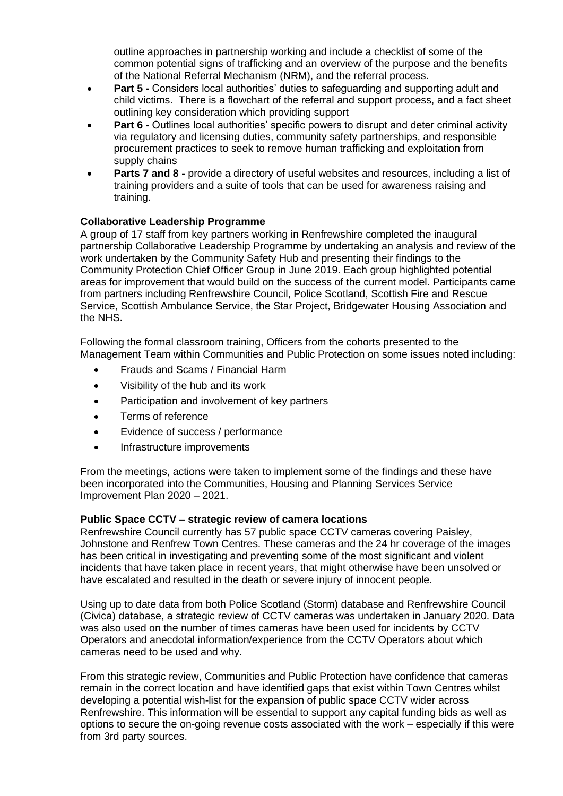outline approaches in partnership working and include a checklist of some of the common potential signs of trafficking and an overview of the purpose and the benefits of the National Referral Mechanism (NRM), and the referral process.

- **Part 5 -** Considers local authorities' duties to safeguarding and supporting adult and child victims. There is a flowchart of the referral and support process, and a fact sheet outlining key consideration which providing support
- **Part 6 -** Outlines local authorities' specific powers to disrupt and deter criminal activity via regulatory and licensing duties, community safety partnerships, and responsible procurement practices to seek to remove human trafficking and exploitation from supply chains
- **Parts 7 and 8 -** provide a directory of useful websites and resources, including a list of training providers and a suite of tools that can be used for awareness raising and training.

# **Collaborative Leadership Programme**

A group of 17 staff from key partners working in Renfrewshire completed the inaugural partnership Collaborative Leadership Programme by undertaking an analysis and review of the work undertaken by the Community Safety Hub and presenting their findings to the Community Protection Chief Officer Group in June 2019. Each group highlighted potential areas for improvement that would build on the success of the current model. Participants came from partners including Renfrewshire Council, Police Scotland, Scottish Fire and Rescue Service, Scottish Ambulance Service, the Star Project, Bridgewater Housing Association and the NHS.

Following the formal classroom training, Officers from the cohorts presented to the Management Team within Communities and Public Protection on some issues noted including:

- Frauds and Scams / Financial Harm
- Visibility of the hub and its work
- Participation and involvement of key partners
- Terms of reference
- Evidence of success / performance
- Infrastructure improvements

From the meetings, actions were taken to implement some of the findings and these have been incorporated into the Communities, Housing and Planning Services Service Improvement Plan 2020 – 2021.

# **Public Space CCTV – strategic review of camera locations**

Renfrewshire Council currently has 57 public space CCTV cameras covering Paisley, Johnstone and Renfrew Town Centres. These cameras and the 24 hr coverage of the images has been critical in investigating and preventing some of the most significant and violent incidents that have taken place in recent years, that might otherwise have been unsolved or have escalated and resulted in the death or severe injury of innocent people.

Using up to date data from both Police Scotland (Storm) database and Renfrewshire Council (Civica) database, a strategic review of CCTV cameras was undertaken in January 2020. Data was also used on the number of times cameras have been used for incidents by CCTV Operators and anecdotal information/experience from the CCTV Operators about which cameras need to be used and why.

From this strategic review, Communities and Public Protection have confidence that cameras remain in the correct location and have identified gaps that exist within Town Centres whilst developing a potential wish-list for the expansion of public space CCTV wider across Renfrewshire. This information will be essential to support any capital funding bids as well as options to secure the on-going revenue costs associated with the work – especially if this were from 3rd party sources.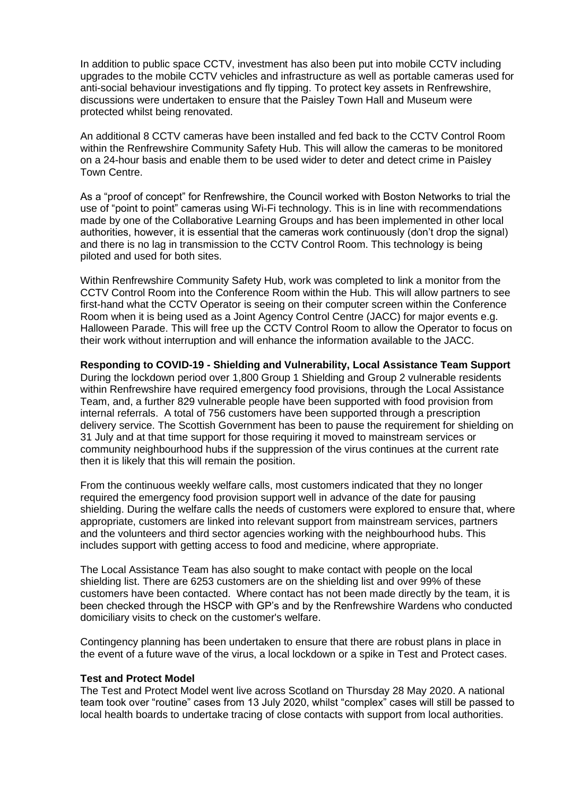In addition to public space CCTV, investment has also been put into mobile CCTV including upgrades to the mobile CCTV vehicles and infrastructure as well as portable cameras used for anti-social behaviour investigations and fly tipping. To protect key assets in Renfrewshire, discussions were undertaken to ensure that the Paisley Town Hall and Museum were protected whilst being renovated.

An additional 8 CCTV cameras have been installed and fed back to the CCTV Control Room within the Renfrewshire Community Safety Hub. This will allow the cameras to be monitored on a 24-hour basis and enable them to be used wider to deter and detect crime in Paisley Town Centre.

As a "proof of concept" for Renfrewshire, the Council worked with Boston Networks to trial the use of "point to point" cameras using Wi-Fi technology. This is in line with recommendations made by one of the Collaborative Learning Groups and has been implemented in other local authorities, however, it is essential that the cameras work continuously (don't drop the signal) and there is no lag in transmission to the CCTV Control Room. This technology is being piloted and used for both sites.

Within Renfrewshire Community Safety Hub, work was completed to link a monitor from the CCTV Control Room into the Conference Room within the Hub. This will allow partners to see first-hand what the CCTV Operator is seeing on their computer screen within the Conference Room when it is being used as a Joint Agency Control Centre (JACC) for major events e.g. Halloween Parade. This will free up the CCTV Control Room to allow the Operator to focus on their work without interruption and will enhance the information available to the JACC.

# **Responding to COVID-19 - Shielding and Vulnerability, Local Assistance Team Support**

During the lockdown period over 1,800 Group 1 Shielding and Group 2 vulnerable residents within Renfrewshire have required emergency food provisions, through the Local Assistance Team, and, a further 829 vulnerable people have been supported with food provision from internal referrals. A total of 756 customers have been supported through a prescription delivery service. The Scottish Government has been to pause the requirement for shielding on 31 July and at that time support for those requiring it moved to mainstream services or community neighbourhood hubs if the suppression of the virus continues at the current rate then it is likely that this will remain the position.

From the continuous weekly welfare calls, most customers indicated that they no longer required the emergency food provision support well in advance of the date for pausing shielding. During the welfare calls the needs of customers were explored to ensure that, where appropriate, customers are linked into relevant support from mainstream services, partners and the volunteers and third sector agencies working with the neighbourhood hubs. This includes support with getting access to food and medicine, where appropriate.

The Local Assistance Team has also sought to make contact with people on the local shielding list. There are 6253 customers are on the shielding list and over 99% of these customers have been contacted. Where contact has not been made directly by the team, it is been checked through the HSCP with GP's and by the Renfrewshire Wardens who conducted domiciliary visits to check on the customer's welfare.

Contingency planning has been undertaken to ensure that there are robust plans in place in the event of a future wave of the virus, a local lockdown or a spike in Test and Protect cases.

#### **Test and Protect Model**

The Test and Protect Model went live across Scotland on Thursday 28 May 2020. A national team took over "routine" cases from 13 July 2020, whilst "complex" cases will still be passed to local health boards to undertake tracing of close contacts with support from local authorities.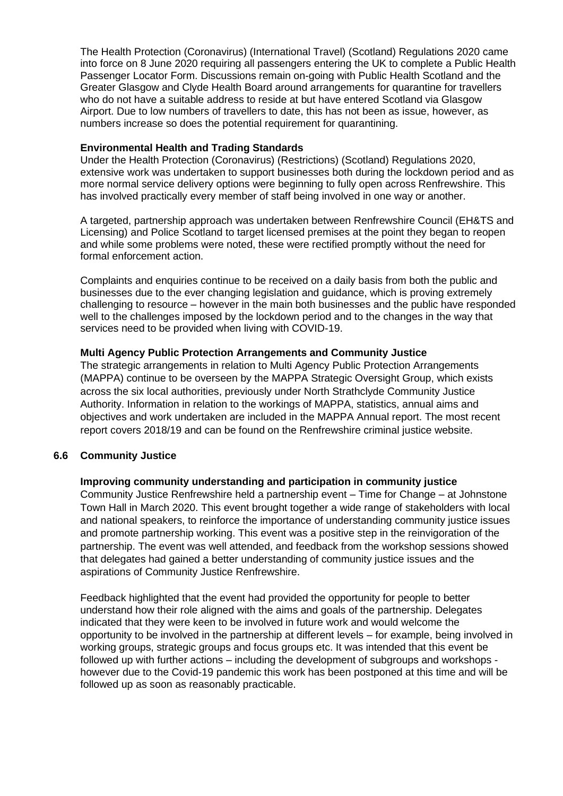[The Health Protection \(Coronavirus\) \(International Travel\) \(Scotland\) Regulations 2020](http://www.legislation.gov.uk/id/ssi/2020/169) came into force on 8 June 2020 requiring all passengers entering the UK to complete a Public Health Passenger Locator Form. Discussions remain on-going with Public Health Scotland and the Greater Glasgow and Clyde Health Board around arrangements for quarantine for travellers who do not have a suitable address to reside at but have entered Scotland via Glasgow Airport. Due to low numbers of travellers to date, this has not been as issue, however, as numbers increase so does the potential requirement for quarantining.

## **Environmental Health and Trading Standards**

Under the Health Protection (Coronavirus) (Restrictions) (Scotland) Regulations 2020, extensive work was undertaken to support businesses both during the lockdown period and as more normal service delivery options were beginning to fully open across Renfrewshire. This has involved practically every member of staff being involved in one way or another.

A targeted, partnership approach was undertaken between Renfrewshire Council (EH&TS and Licensing) and Police Scotland to target licensed premises at the point they began to reopen and while some problems were noted, these were rectified promptly without the need for formal enforcement action.

Complaints and enquiries continue to be received on a daily basis from both the public and businesses due to the ever changing legislation and guidance, which is proving extremely challenging to resource – however in the main both businesses and the public have responded well to the challenges imposed by the lockdown period and to the changes in the way that services need to be provided when living with COVID-19.

# **Multi Agency Public Protection Arrangements and Community Justice**

The strategic arrangements in relation to Multi Agency Public Protection Arrangements (MAPPA) continue to be overseen by the MAPPA Strategic Oversight Group, which exists across the six local authorities, previously under North Strathclyde Community Justice Authority. Information in relation to the workings of MAPPA, statistics, annual aims and objectives and work undertaken are included in the MAPPA Annual report. The most recent report covers 2018/19 and can be found on the Renfrewshire criminal justice website.

# **6.6 Community Justice**

# **Improving community understanding and participation in community justice**

Community Justice Renfrewshire held a partnership event – Time for Change – at Johnstone Town Hall in March 2020. This event brought together a wide range of stakeholders with local and national speakers, to reinforce the importance of understanding community justice issues and promote partnership working. This event was a positive step in the reinvigoration of the partnership. The event was well attended, and feedback from the workshop sessions showed that delegates had gained a better understanding of community justice issues and the aspirations of Community Justice Renfrewshire.

Feedback highlighted that the event had provided the opportunity for people to better understand how their role aligned with the aims and goals of the partnership. Delegates indicated that they were keen to be involved in future work and would welcome the opportunity to be involved in the partnership at different levels – for example, being involved in working groups, strategic groups and focus groups etc. It was intended that this event be followed up with further actions – including the development of subgroups and workshops however due to the Covid-19 pandemic this work has been postponed at this time and will be followed up as soon as reasonably practicable.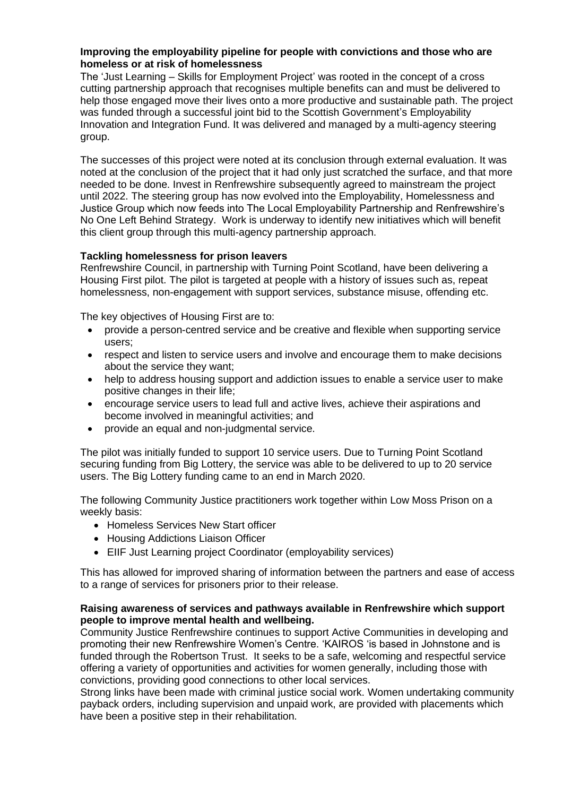## **Improving the employability pipeline for people with convictions and those who are homeless or at risk of homelessness**

The 'Just Learning – Skills for Employment Project' was rooted in the concept of a cross cutting partnership approach that recognises multiple benefits can and must be delivered to help those engaged move their lives onto a more productive and sustainable path. The project was funded through a successful joint bid to the Scottish Government's Employability Innovation and Integration Fund. It was delivered and managed by a multi-agency steering group.

The successes of this project were noted at its conclusion through external evaluation. It was noted at the conclusion of the project that it had only just scratched the surface, and that more needed to be done. Invest in Renfrewshire subsequently agreed to mainstream the project until 2022. The steering group has now evolved into the Employability, Homelessness and Justice Group which now feeds into The Local Employability Partnership and Renfrewshire's No One Left Behind Strategy. Work is underway to identify new initiatives which will benefit this client group through this multi-agency partnership approach.

# **Tackling homelessness for prison leavers**

Renfrewshire Council, in partnership with Turning Point Scotland, have been delivering a Housing First pilot. The pilot is targeted at people with a history of issues such as, repeat homelessness, non-engagement with support services, substance misuse, offending etc.

The key objectives of Housing First are to:

- provide a person-centred service and be creative and flexible when supporting service users;
- respect and listen to service users and involve and encourage them to make decisions about the service they want;
- help to address housing support and addiction issues to enable a service user to make positive changes in their life;
- encourage service users to lead full and active lives, achieve their aspirations and become involved in meaningful activities; and
- provide an equal and non-judgmental service.

The pilot was initially funded to support 10 service users. Due to Turning Point Scotland securing funding from Big Lottery, the service was able to be delivered to up to 20 service users. The Big Lottery funding came to an end in March 2020.

The following Community Justice practitioners work together within Low Moss Prison on a weekly basis:

- Homeless Services New Start officer
- Housing Addictions Liaison Officer
- EIIF Just Learning project Coordinator (employability services)

This has allowed for improved sharing of information between the partners and ease of access to a range of services for prisoners prior to their release.

# **Raising awareness of services and pathways available in Renfrewshire which support people to improve mental health and wellbeing.**

Community Justice Renfrewshire continues to support Active Communities in developing and promoting their new Renfrewshire Women's Centre. 'KAIROS 'is based in Johnstone and is funded through the Robertson Trust. It seeks to be a safe, welcoming and respectful service offering a variety of opportunities and activities for women generally, including those with convictions, providing good connections to other local services.

Strong links have been made with criminal justice social work. Women undertaking community payback orders, including supervision and unpaid work, are provided with placements which have been a positive step in their rehabilitation.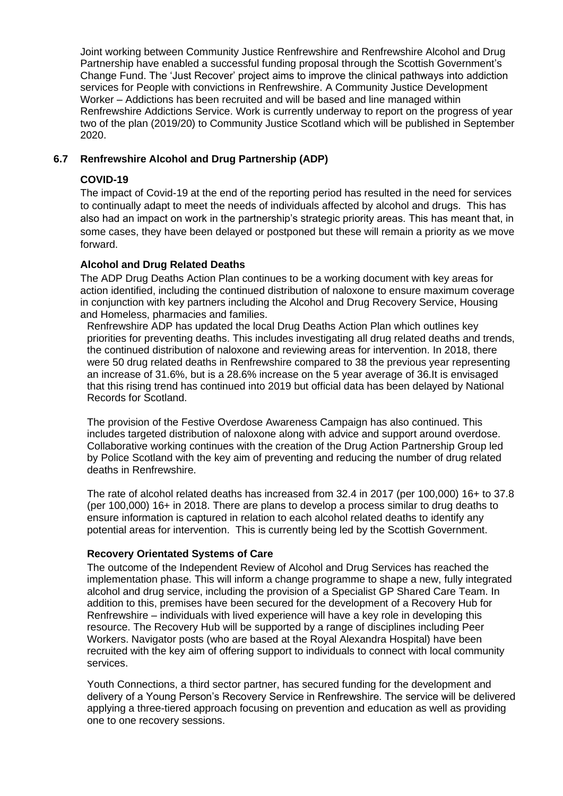Joint working between Community Justice Renfrewshire and Renfrewshire Alcohol and Drug Partnership have enabled a successful funding proposal through the Scottish Government's Change Fund. The 'Just Recover' project aims to improve the clinical pathways into addiction services for People with convictions in Renfrewshire. A Community Justice Development Worker – Addictions has been recruited and will be based and line managed within Renfrewshire Addictions Service. Work is currently underway to report on the progress of year two of the plan (2019/20) to Community Justice Scotland which will be published in September 2020.

# **6.7 Renfrewshire Alcohol and Drug Partnership (ADP)**

# **COVID-19**

The impact of Covid-19 at the end of the reporting period has resulted in the need for services to continually adapt to meet the needs of individuals affected by alcohol and drugs. This has also had an impact on work in the partnership's strategic priority areas. This has meant that, in some cases, they have been delayed or postponed but these will remain a priority as we move forward.

# **Alcohol and Drug Related Deaths**

The ADP Drug Deaths Action Plan continues to be a working document with key areas for action identified, including the continued distribution of naloxone to ensure maximum coverage in conjunction with key partners including the Alcohol and Drug Recovery Service, Housing and Homeless, pharmacies and families.

Renfrewshire ADP has updated the local Drug Deaths Action Plan which outlines key priorities for preventing deaths. This includes investigating all drug related deaths and trends, the continued distribution of naloxone and reviewing areas for intervention. In 2018, there were 50 drug related deaths in Renfrewshire compared to 38 the previous year representing an increase of 31.6%, but is a 28.6% increase on the 5 year average of 36.It is envisaged that this rising trend has continued into 2019 but official data has been delayed by National Records for Scotland.

The provision of the Festive Overdose Awareness Campaign has also continued. This includes targeted distribution of naloxone along with advice and support around overdose. Collaborative working continues with the creation of the Drug Action Partnership Group led by Police Scotland with the key aim of preventing and reducing the number of drug related deaths in Renfrewshire.

The rate of alcohol related deaths has increased from 32.4 in 2017 (per 100,000) 16+ to 37.8 (per 100,000) 16+ in 2018. There are plans to develop a process similar to drug deaths to ensure information is captured in relation to each alcohol related deaths to identify any potential areas for intervention. This is currently being led by the Scottish Government.

# **Recovery Orientated Systems of Care**

The outcome of the Independent Review of Alcohol and Drug Services has reached the implementation phase. This will inform a change programme to shape a new, fully integrated alcohol and drug service, including the provision of a Specialist GP Shared Care Team. In addition to this, premises have been secured for the development of a Recovery Hub for Renfrewshire – individuals with lived experience will have a key role in developing this resource. The Recovery Hub will be supported by a range of disciplines including Peer Workers. Navigator posts (who are based at the Royal Alexandra Hospital) have been recruited with the key aim of offering support to individuals to connect with local community services.

Youth Connections, a third sector partner, has secured funding for the development and delivery of a Young Person's Recovery Service in Renfrewshire. The service will be delivered applying a three-tiered approach focusing on prevention and education as well as providing one to one recovery sessions.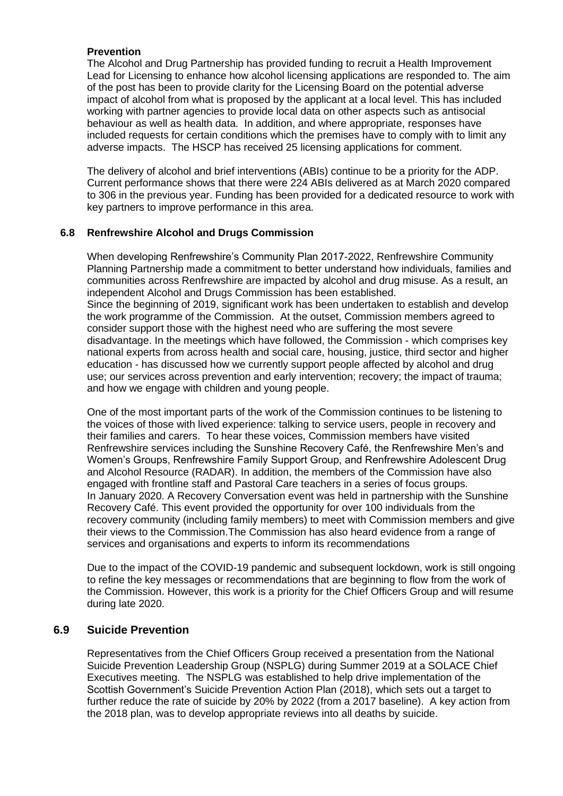# **Prevention**

The Alcohol and Drug Partnership has provided funding to recruit a Health Improvement Lead for Licensing to enhance how alcohol licensing applications are responded to. The aim of the post has been to provide clarity for the Licensing Board on the potential adverse impact of alcohol from what is proposed by the applicant at a local level. This has included working with partner agencies to provide local data on other aspects such as antisocial behaviour as well as health data. In addition, and where appropriate, responses have included requests for certain conditions which the premises have to comply with to limit any adverse impacts. The HSCP has received 25 licensing applications for comment.

The delivery of alcohol and brief interventions (ABIs) continue to be a priority for the ADP. Current performance shows that there were 224 ABIs delivered as at March 2020 compared to 306 in the previous year. Funding has been provided for a dedicated resource to work with key partners to improve performance in this area.

# **6.8 Renfrewshire Alcohol and Drugs Commission**

When developing Renfrewshire's Community Plan 2017-2022, Renfrewshire Community Planning Partnership made a commitment to better understand how individuals, families and communities across Renfrewshire are impacted by alcohol and drug misuse. As a result, an independent Alcohol and Drugs Commission has been established. Since the beginning of 2019, significant work has been undertaken to establish and develop the work programme of the Commission. At the outset, Commission members agreed to consider support those with the highest need who are suffering the most severe disadvantage. In the meetings which have followed, the Commission - which comprises key national experts from across health and social care, housing, justice, third sector and higher education - has discussed how we currently support people affected by alcohol and drug use; our services across prevention and early intervention; recovery; the impact of trauma; and how we engage with children and young people.

One of the most important parts of the work of the Commission continues to be listening to the voices of those with lived experience: talking to service users, people in recovery and their families and carers. To hear these voices, Commission members have visited Renfrewshire services including the Sunshine Recovery Café, the Renfrewshire Men's and Women's Groups, Renfrewshire Family Support Group, and Renfrewshire Adolescent Drug and Alcohol Resource (RADAR). In addition, the members of the Commission have also engaged with frontline staff and Pastoral Care teachers in a series of focus groups. In January 2020. A Recovery Conversation event was held in partnership with the Sunshine Recovery Café. This event provided the opportunity for over 100 individuals from the recovery community (including family members) to meet with Commission members and give their views to the Commission.The Commission has also heard evidence from a range of services and organisations and experts to inform its recommendations

Due to the impact of the COVID-19 pandemic and subsequent lockdown, work is still ongoing to refine the key messages or recommendations that are beginning to flow from the work of the Commission. However, this work is a priority for the Chief Officers Group and will resume during late 2020.

# **6.9 Suicide Prevention**

Representatives from the Chief Officers Group received a presentation from the National Suicide Prevention Leadership Group (NSPLG) during Summer 2019 at a SOLACE Chief Executives meeting. The NSPLG was established to help drive implementation of the Scottish Government's [Suicide Prevention Action Plan \(2018\),](https://www.gov.scot/publications/scotlands-suicide-prevention-action-plan-life-matters/) which sets out a target to further reduce the rate of suicide by 20% by 2022 (from a 2017 baseline). A key action from the 2018 plan, was to develop appropriate reviews into all deaths by suicide.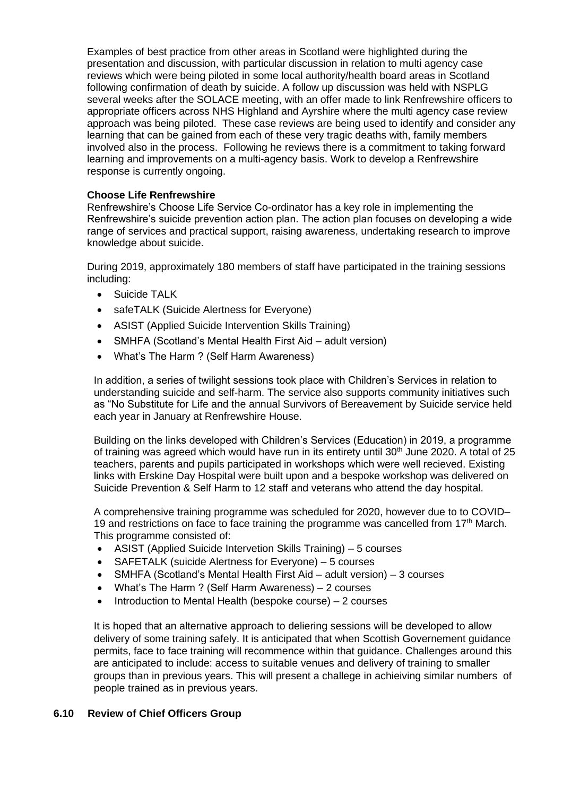Examples of best practice from other areas in Scotland were highlighted during the presentation and discussion, with particular discussion in relation to multi agency case reviews which were being piloted in some local authority/health board areas in Scotland following confirmation of death by suicide. A follow up discussion was held with NSPLG several weeks after the SOLACE meeting, with an offer made to link Renfrewshire officers to appropriate officers across NHS Highland and Ayrshire where the multi agency case review approach was being piloted. These case reviews are being used to identify and consider any learning that can be gained from each of these very tragic deaths with, family members involved also in the process. Following he reviews there is a commitment to taking forward learning and improvements on a multi-agency basis. Work to develop a Renfrewshire response is currently ongoing.

# **Choose Life Renfrewshire**

Renfrewshire's Choose Life Service Co-ordinator has a key role in implementing the Renfrewshire's suicide prevention action plan. The action plan focuses on developing a wide range of services and practical support, raising awareness, undertaking research to improve knowledge about suicide.

During 2019, approximately 180 members of staff have participated in the training sessions including:

- Suicide TALK
- safeTALK (Suicide Alertness for Everyone)
- ASIST (Applied Suicide Intervention Skills Training)
- SMHFA (Scotland's Mental Health First Aid adult version)
- What's The Harm ? (Self Harm Awareness)

In addition, a series of twilight sessions took place with Children's Services in relation to understanding suicide and self-harm. The service also supports community initiatives such as "No Substitute for Life and the annual Survivors of Bereavement by Suicide service held each year in January at Renfrewshire House.

Building on the links developed with Children's Services (Education) in 2019, a programme of training was agreed which would have run in its entirety until 30<sup>th</sup> June 2020. A total of 25 teachers, parents and pupils participated in workshops which were well recieved. Existing links with Erskine Day Hospital were built upon and a bespoke workshop was delivered on Suicide Prevention & Self Harm to 12 staff and veterans who attend the day hospital.

A comprehensive training programme was scheduled for 2020, however due to to COVID– 19 and restrictions on face to face training the programme was cancelled from  $17<sup>th</sup>$  March. This programme consisted of:

- ASIST (Applied Suicide Intervetion Skills Training) 5 courses
- SAFETALK (suicide Alertness for Everyone) 5 courses
- SMHFA (Scotland's Mental Health First Aid adult version) 3 courses
- What's The Harm ? (Self Harm Awareness) 2 courses
- Introduction to Mental Health (bespoke course) 2 courses

It is hoped that an alternative approach to deliering sessions will be developed to allow delivery of some training safely. It is anticipated that when Scottish Governement guidance permits, face to face training will recommence within that guidance. Challenges around this are anticipated to include: access to suitable venues and delivery of training to smaller groups than in previous years. This will present a challege in achieiving similar numbers of people trained as in previous years.

# **6.10 Review of Chief Officers Group**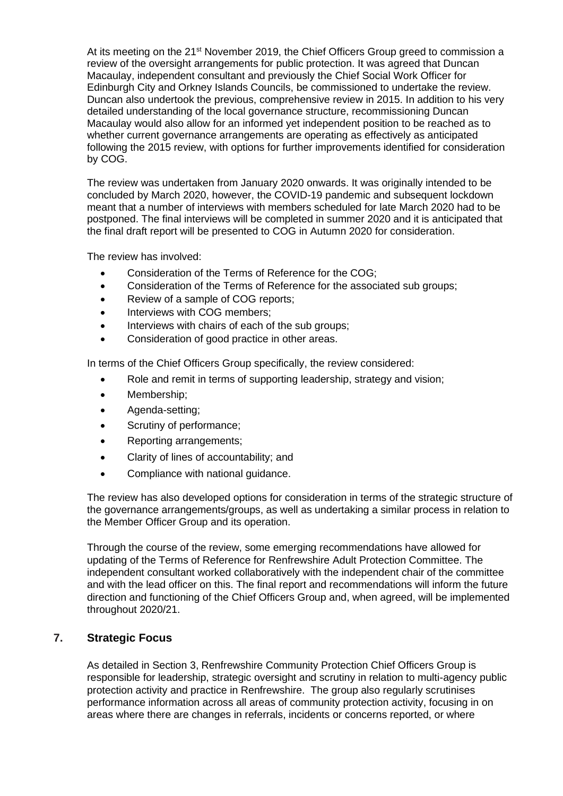At its meeting on the 21<sup>st</sup> November 2019, the Chief Officers Group greed to commission a review of the oversight arrangements for public protection. It was agreed that Duncan Macaulay, independent consultant and previously the Chief Social Work Officer for Edinburgh City and Orkney Islands Councils, be commissioned to undertake the review. Duncan also undertook the previous, comprehensive review in 2015. In addition to his very detailed understanding of the local governance structure, recommissioning Duncan Macaulay would also allow for an informed yet independent position to be reached as to whether current governance arrangements are operating as effectively as anticipated following the 2015 review, with options for further improvements identified for consideration by COG.

The review was undertaken from January 2020 onwards. It was originally intended to be concluded by March 2020, however, the COVID-19 pandemic and subsequent lockdown meant that a number of interviews with members scheduled for late March 2020 had to be postponed. The final interviews will be completed in summer 2020 and it is anticipated that the final draft report will be presented to COG in Autumn 2020 for consideration.

The review has involved:

- Consideration of the Terms of Reference for the COG;
- Consideration of the Terms of Reference for the associated sub groups;
- Review of a sample of COG reports:
- Interviews with COG members;
- Interviews with chairs of each of the sub groups;
- Consideration of good practice in other areas.

In terms of the Chief Officers Group specifically, the review considered:

- Role and remit in terms of supporting leadership, strategy and vision;
- Membership;
- Agenda-setting;
- Scrutiny of performance;
- Reporting arrangements;
- Clarity of lines of accountability; and
- Compliance with national guidance.

The review has also developed options for consideration in terms of the strategic structure of the governance arrangements/groups, as well as undertaking a similar process in relation to the Member Officer Group and its operation.

Through the course of the review, some emerging recommendations have allowed for updating of the Terms of Reference for Renfrewshire Adult Protection Committee. The independent consultant worked collaboratively with the independent chair of the committee and with the lead officer on this. The final report and recommendations will inform the future direction and functioning of the Chief Officers Group and, when agreed, will be implemented throughout 2020/21.

# **7. Strategic Focus**

As detailed in Section 3, Renfrewshire Community Protection Chief Officers Group is responsible for leadership, strategic oversight and scrutiny in relation to multi-agency public protection activity and practice in Renfrewshire. The group also regularly scrutinises performance information across all areas of community protection activity, focusing in on areas where there are changes in referrals, incidents or concerns reported, or where